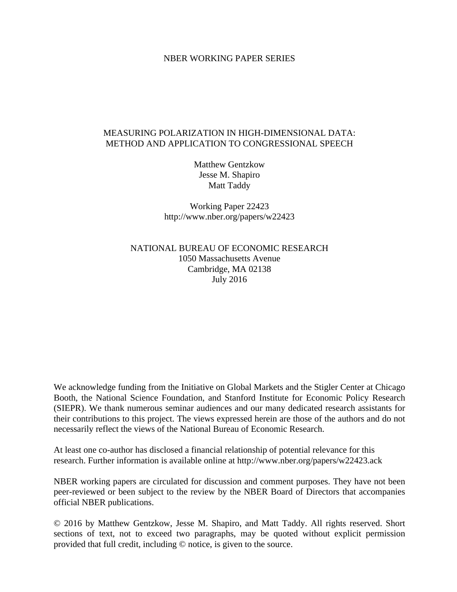### NBER WORKING PAPER SERIES

## MEASURING POLARIZATION IN HIGH-DIMENSIONAL DATA: METHOD AND APPLICATION TO CONGRESSIONAL SPEECH

Matthew Gentzkow Jesse M. Shapiro Matt Taddy

Working Paper 22423 http://www.nber.org/papers/w22423

NATIONAL BUREAU OF ECONOMIC RESEARCH 1050 Massachusetts Avenue Cambridge, MA 02138 July 2016

We acknowledge funding from the Initiative on Global Markets and the Stigler Center at Chicago Booth, the National Science Foundation, and Stanford Institute for Economic Policy Research (SIEPR). We thank numerous seminar audiences and our many dedicated research assistants for their contributions to this project. The views expressed herein are those of the authors and do not necessarily reflect the views of the National Bureau of Economic Research.

At least one co-author has disclosed a financial relationship of potential relevance for this research. Further information is available online at http://www.nber.org/papers/w22423.ack

NBER working papers are circulated for discussion and comment purposes. They have not been peer-reviewed or been subject to the review by the NBER Board of Directors that accompanies official NBER publications.

© 2016 by Matthew Gentzkow, Jesse M. Shapiro, and Matt Taddy. All rights reserved. Short sections of text, not to exceed two paragraphs, may be quoted without explicit permission provided that full credit, including © notice, is given to the source.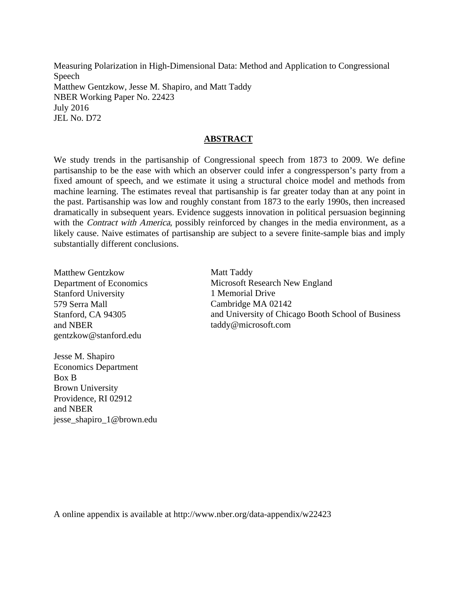Measuring Polarization in High-Dimensional Data: Method and Application to Congressional Speech Matthew Gentzkow, Jesse M. Shapiro, and Matt Taddy NBER Working Paper No. 22423 July 2016 JEL No. D72

## **ABSTRACT**

We study trends in the partisanship of Congressional speech from 1873 to 2009. We define partisanship to be the ease with which an observer could infer a congressperson's party from a fixed amount of speech, and we estimate it using a structural choice model and methods from machine learning. The estimates reveal that partisanship is far greater today than at any point in the past. Partisanship was low and roughly constant from 1873 to the early 1990s, then increased dramatically in subsequent years. Evidence suggests innovation in political persuasion beginning with the *Contract with America*, possibly reinforced by changes in the media environment, as a likely cause. Naive estimates of partisanship are subject to a severe finite-sample bias and imply substantially different conclusions.

Matthew Gentzkow Department of Economics Stanford University 579 Serra Mall Stanford, CA 94305 and NBER gentzkow@stanford.edu

Jesse M. Shapiro Economics Department Box B Brown University Providence, RI 02912 and NBER jesse\_shapiro\_1@brown.edu Matt Taddy Microsoft Research New England 1 Memorial Drive Cambridge MA 02142 and University of Chicago Booth School of Business taddy@microsoft.com

A online appendix is available at http://www.nber.org/data-appendix/w22423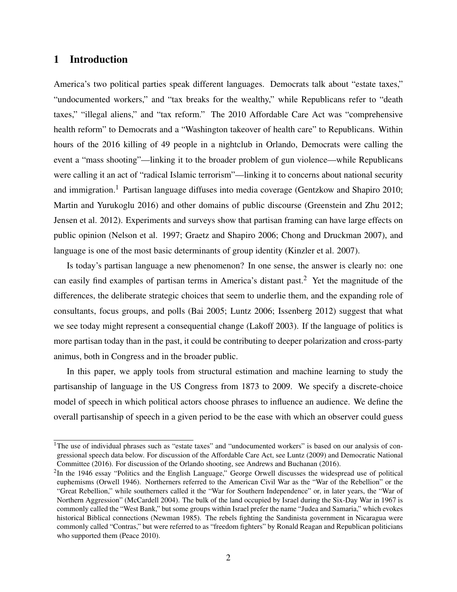# 1 Introduction

America's two political parties speak different languages. Democrats talk about "estate taxes," "undocumented workers," and "tax breaks for the wealthy," while Republicans refer to "death taxes," "illegal aliens," and "tax reform." The 2010 Affordable Care Act was "comprehensive health reform" to Democrats and a "Washington takeover of health care" to Republicans. Within hours of the 2016 killing of 49 people in a nightclub in Orlando, Democrats were calling the event a "mass shooting"—linking it to the broader problem of gun violence—while Republicans were calling it an act of "radical Islamic terrorism"—linking it to concerns about national security and immigration.<sup>1</sup> Partisan language diffuses into media coverage (Gentzkow and Shapiro 2010; Martin and Yurukoglu 2016) and other domains of public discourse (Greenstein and Zhu 2012; Jensen et al. 2012). Experiments and surveys show that partisan framing can have large effects on public opinion (Nelson et al. 1997; Graetz and Shapiro 2006; Chong and Druckman 2007), and language is one of the most basic determinants of group identity (Kinzler et al. 2007).

Is today's partisan language a new phenomenon? In one sense, the answer is clearly no: one can easily find examples of partisan terms in America's distant past.<sup>2</sup> Yet the magnitude of the differences, the deliberate strategic choices that seem to underlie them, and the expanding role of consultants, focus groups, and polls (Bai 2005; Luntz 2006; Issenberg 2012) suggest that what we see today might represent a consequential change (Lakoff 2003). If the language of politics is more partisan today than in the past, it could be contributing to deeper polarization and cross-party animus, both in Congress and in the broader public.

In this paper, we apply tools from structural estimation and machine learning to study the partisanship of language in the US Congress from 1873 to 2009. We specify a discrete-choice model of speech in which political actors choose phrases to influence an audience. We define the overall partisanship of speech in a given period to be the ease with which an observer could guess

<sup>&</sup>lt;sup>1</sup>The use of individual phrases such as "estate taxes" and "undocumented workers" is based on our analysis of congressional speech data below. For discussion of the Affordable Care Act, see Luntz (2009) and Democratic National Committee (2016). For discussion of the Orlando shooting, see Andrews and Buchanan (2016).

 $2$ In the 1946 essay "Politics and the English Language," George Orwell discusses the widespread use of political euphemisms (Orwell 1946). Northerners referred to the American Civil War as the "War of the Rebellion" or the "Great Rebellion," while southerners called it the "War for Southern Independence" or, in later years, the "War of Northern Aggression" (McCardell 2004). The bulk of the land occupied by Israel during the Six-Day War in 1967 is commonly called the "West Bank," but some groups within Israel prefer the name "Judea and Samaria," which evokes historical Biblical connections (Newman 1985). The rebels fighting the Sandinista government in Nicaragua were commonly called "Contras," but were referred to as "freedom fighters" by Ronald Reagan and Republican politicians who supported them (Peace 2010).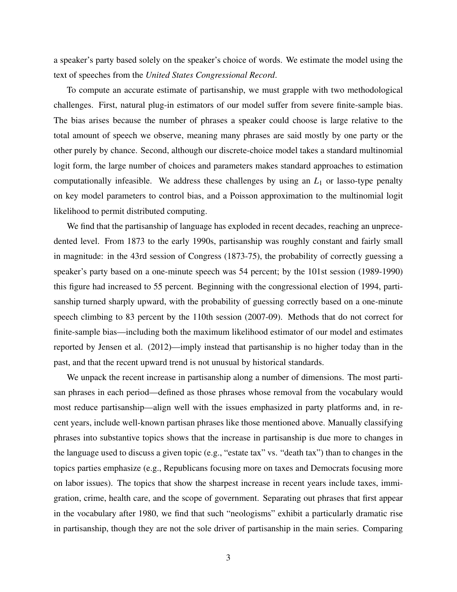a speaker's party based solely on the speaker's choice of words. We estimate the model using the text of speeches from the *United States Congressional Record*.

To compute an accurate estimate of partisanship, we must grapple with two methodological challenges. First, natural plug-in estimators of our model suffer from severe finite-sample bias. The bias arises because the number of phrases a speaker could choose is large relative to the total amount of speech we observe, meaning many phrases are said mostly by one party or the other purely by chance. Second, although our discrete-choice model takes a standard multinomial logit form, the large number of choices and parameters makes standard approaches to estimation computationally infeasible. We address these challenges by using an *L*<sup>1</sup> or lasso-type penalty on key model parameters to control bias, and a Poisson approximation to the multinomial logit likelihood to permit distributed computing.

We find that the partisanship of language has exploded in recent decades, reaching an unprecedented level. From 1873 to the early 1990s, partisanship was roughly constant and fairly small in magnitude: in the 43rd session of Congress (1873-75), the probability of correctly guessing a speaker's party based on a one-minute speech was 54 percent; by the 101st session (1989-1990) this figure had increased to 55 percent. Beginning with the congressional election of 1994, partisanship turned sharply upward, with the probability of guessing correctly based on a one-minute speech climbing to 83 percent by the 110th session (2007-09). Methods that do not correct for finite-sample bias—including both the maximum likelihood estimator of our model and estimates reported by Jensen et al. (2012)—imply instead that partisanship is no higher today than in the past, and that the recent upward trend is not unusual by historical standards.

We unpack the recent increase in partisanship along a number of dimensions. The most partisan phrases in each period—defined as those phrases whose removal from the vocabulary would most reduce partisanship—align well with the issues emphasized in party platforms and, in recent years, include well-known partisan phrases like those mentioned above. Manually classifying phrases into substantive topics shows that the increase in partisanship is due more to changes in the language used to discuss a given topic (e.g., "estate tax" vs. "death tax") than to changes in the topics parties emphasize (e.g., Republicans focusing more on taxes and Democrats focusing more on labor issues). The topics that show the sharpest increase in recent years include taxes, immigration, crime, health care, and the scope of government. Separating out phrases that first appear in the vocabulary after 1980, we find that such "neologisms" exhibit a particularly dramatic rise in partisanship, though they are not the sole driver of partisanship in the main series. Comparing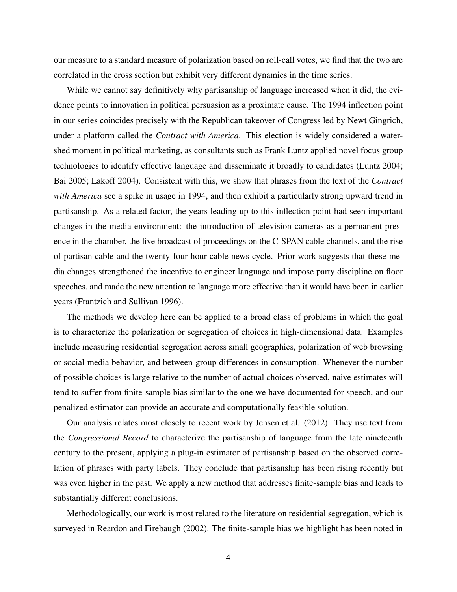our measure to a standard measure of polarization based on roll-call votes, we find that the two are correlated in the cross section but exhibit very different dynamics in the time series.

While we cannot say definitively why partisanship of language increased when it did, the evidence points to innovation in political persuasion as a proximate cause. The 1994 inflection point in our series coincides precisely with the Republican takeover of Congress led by Newt Gingrich, under a platform called the *Contract with America*. This election is widely considered a watershed moment in political marketing, as consultants such as Frank Luntz applied novel focus group technologies to identify effective language and disseminate it broadly to candidates (Luntz 2004; Bai 2005; Lakoff 2004). Consistent with this, we show that phrases from the text of the *Contract with America* see a spike in usage in 1994, and then exhibit a particularly strong upward trend in partisanship. As a related factor, the years leading up to this inflection point had seen important changes in the media environment: the introduction of television cameras as a permanent presence in the chamber, the live broadcast of proceedings on the C-SPAN cable channels, and the rise of partisan cable and the twenty-four hour cable news cycle. Prior work suggests that these media changes strengthened the incentive to engineer language and impose party discipline on floor speeches, and made the new attention to language more effective than it would have been in earlier years (Frantzich and Sullivan 1996).

The methods we develop here can be applied to a broad class of problems in which the goal is to characterize the polarization or segregation of choices in high-dimensional data. Examples include measuring residential segregation across small geographies, polarization of web browsing or social media behavior, and between-group differences in consumption. Whenever the number of possible choices is large relative to the number of actual choices observed, naive estimates will tend to suffer from finite-sample bias similar to the one we have documented for speech, and our penalized estimator can provide an accurate and computationally feasible solution.

Our analysis relates most closely to recent work by Jensen et al. (2012). They use text from the *Congressional Record* to characterize the partisanship of language from the late nineteenth century to the present, applying a plug-in estimator of partisanship based on the observed correlation of phrases with party labels. They conclude that partisanship has been rising recently but was even higher in the past. We apply a new method that addresses finite-sample bias and leads to substantially different conclusions.

Methodologically, our work is most related to the literature on residential segregation, which is surveyed in Reardon and Firebaugh (2002). The finite-sample bias we highlight has been noted in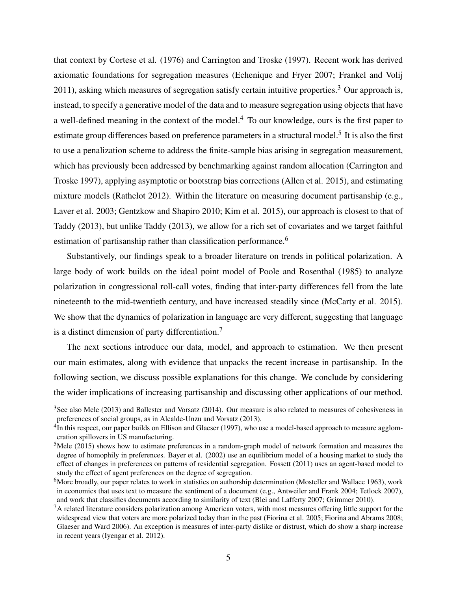that context by Cortese et al. (1976) and Carrington and Troske (1997). Recent work has derived axiomatic foundations for segregation measures (Echenique and Fryer 2007; Frankel and Volij 2011), asking which measures of segregation satisfy certain intuitive properties.<sup>3</sup> Our approach is, instead, to specify a generative model of the data and to measure segregation using objects that have a well-defined meaning in the context of the model.<sup>4</sup> To our knowledge, ours is the first paper to estimate group differences based on preference parameters in a structural model.<sup>5</sup> It is also the first to use a penalization scheme to address the finite-sample bias arising in segregation measurement, which has previously been addressed by benchmarking against random allocation (Carrington and Troske 1997), applying asymptotic or bootstrap bias corrections (Allen et al. 2015), and estimating mixture models (Rathelot 2012). Within the literature on measuring document partisanship (e.g., Laver et al. 2003; Gentzkow and Shapiro 2010; Kim et al. 2015), our approach is closest to that of Taddy (2013), but unlike Taddy (2013), we allow for a rich set of covariates and we target faithful estimation of partisanship rather than classification performance.<sup>6</sup>

Substantively, our findings speak to a broader literature on trends in political polarization. A large body of work builds on the ideal point model of Poole and Rosenthal (1985) to analyze polarization in congressional roll-call votes, finding that inter-party differences fell from the late nineteenth to the mid-twentieth century, and have increased steadily since (McCarty et al. 2015). We show that the dynamics of polarization in language are very different, suggesting that language is a distinct dimension of party differentiation.<sup>7</sup>

The next sections introduce our data, model, and approach to estimation. We then present our main estimates, along with evidence that unpacks the recent increase in partisanship. In the following section, we discuss possible explanations for this change. We conclude by considering the wider implications of increasing partisanship and discussing other applications of our method.

 $3$ See also Mele (2013) and Ballester and Vorsatz (2014). Our measure is also related to measures of cohesiveness in preferences of social groups, as in Alcalde-Unzu and Vorsatz (2013).

<sup>&</sup>lt;sup>4</sup>In this respect, our paper builds on Ellison and Glaeser (1997), who use a model-based approach to measure agglomeration spillovers in US manufacturing.

 $5$ Mele (2015) shows how to estimate preferences in a random-graph model of network formation and measures the degree of homophily in preferences. Bayer et al. (2002) use an equilibrium model of a housing market to study the effect of changes in preferences on patterns of residential segregation. Fossett (2011) uses an agent-based model to study the effect of agent preferences on the degree of segregation.

 $6$ More broadly, our paper relates to work in statistics on authorship determination (Mosteller and Wallace 1963), work in economics that uses text to measure the sentiment of a document (e.g., Antweiler and Frank 2004; Tetlock 2007), and work that classifies documents according to similarity of text (Blei and Lafferty 2007; Grimmer 2010).

 $7A$  related literature considers polarization among American voters, with most measures offering little support for the widespread view that voters are more polarized today than in the past (Fiorina et al. 2005; Fiorina and Abrams 2008; Glaeser and Ward 2006). An exception is measures of inter-party dislike or distrust, which do show a sharp increase in recent years (Iyengar et al. 2012).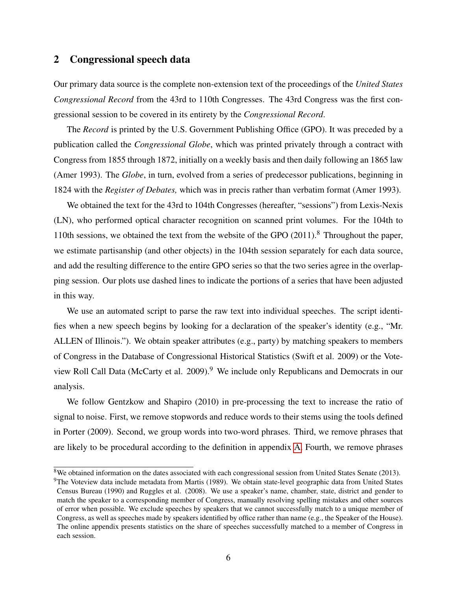# 2 Congressional speech data

Our primary data source is the complete non-extension text of the proceedings of the *United States Congressional Record* from the 43rd to 110th Congresses. The 43rd Congress was the first congressional session to be covered in its entirety by the *Congressional Record*.

The *Record* is printed by the U.S. Government Publishing Office (GPO). It was preceded by a publication called the *Congressional Globe*, which was printed privately through a contract with Congress from 1855 through 1872, initially on a weekly basis and then daily following an 1865 law (Amer 1993). The *Globe*, in turn, evolved from a series of predecessor publications, beginning in 1824 with the *Register of Debates,* which was in precis rather than verbatim format (Amer 1993).

We obtained the text for the 43rd to 104th Congresses (hereafter, "sessions") from Lexis-Nexis (LN), who performed optical character recognition on scanned print volumes. For the 104th to 110th sessions, we obtained the text from the website of the GPO  $(2011)$ .<sup>8</sup> Throughout the paper, we estimate partisanship (and other objects) in the 104th session separately for each data source, and add the resulting difference to the entire GPO series so that the two series agree in the overlapping session. Our plots use dashed lines to indicate the portions of a series that have been adjusted in this way.

We use an automated script to parse the raw text into individual speeches. The script identifies when a new speech begins by looking for a declaration of the speaker's identity (e.g., "Mr. ALLEN of Illinois."). We obtain speaker attributes (e.g., party) by matching speakers to members of Congress in the Database of Congressional Historical Statistics (Swift et al. 2009) or the Voteview Roll Call Data (McCarty et al. 2009).<sup>9</sup> We include only Republicans and Democrats in our analysis.

We follow Gentzkow and Shapiro (2010) in pre-processing the text to increase the ratio of signal to noise. First, we remove stopwords and reduce words to their stems using the tools defined in Porter (2009). Second, we group words into two-word phrases. Third, we remove phrases that are likely to be procedural according to the definition in appendix [A.](#page-32-0) Fourth, we remove phrases

<sup>&</sup>lt;sup>8</sup>We obtained information on the dates associated with each congressional session from United States Senate (2013).

 $9$ The Voteview data include metadata from Martis (1989). We obtain state-level geographic data from United States Census Bureau (1990) and Ruggles et al. (2008). We use a speaker's name, chamber, state, district and gender to match the speaker to a corresponding member of Congress, manually resolving spelling mistakes and other sources of error when possible. We exclude speeches by speakers that we cannot successfully match to a unique member of Congress, as well as speeches made by speakers identified by office rather than name (e.g., the Speaker of the House). The online appendix presents statistics on the share of speeches successfully matched to a member of Congress in each session.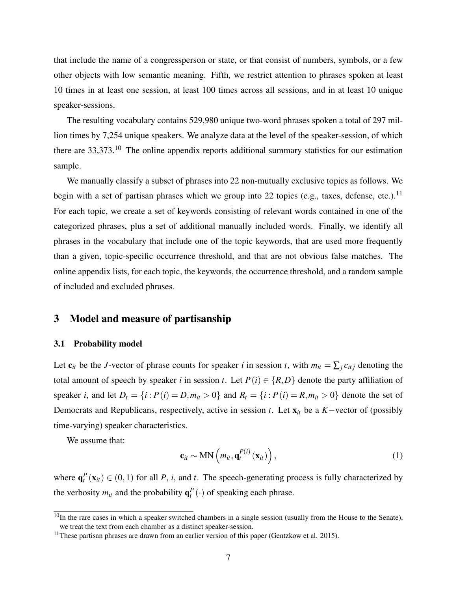that include the name of a congressperson or state, or that consist of numbers, symbols, or a few other objects with low semantic meaning. Fifth, we restrict attention to phrases spoken at least 10 times in at least one session, at least 100 times across all sessions, and in at least 10 unique speaker-sessions.

The resulting vocabulary contains 529,980 unique two-word phrases spoken a total of 297 million times by 7,254 unique speakers. We analyze data at the level of the speaker-session, of which there are 33,373.<sup>10</sup> The online appendix reports additional summary statistics for our estimation sample.

We manually classify a subset of phrases into 22 non-mutually exclusive topics as follows. We begin with a set of partisan phrases which we group into 22 topics (e.g., taxes, defense, etc.).<sup>11</sup> For each topic, we create a set of keywords consisting of relevant words contained in one of the categorized phrases, plus a set of additional manually included words. Finally, we identify all phrases in the vocabulary that include one of the topic keywords, that are used more frequently than a given, topic-specific occurrence threshold, and that are not obvious false matches. The online appendix lists, for each topic, the keywords, the occurrence threshold, and a random sample of included and excluded phrases.

## 3 Model and measure of partisanship

#### 3.1 Probability model

Let  $c_{it}$  be the *J*-vector of phrase counts for speaker *i* in session *t*, with  $m_{it} = \sum_j c_{itj}$  denoting the total amount of speech by speaker *i* in session *t*. Let  $P(i) \in \{R, D\}$  denote the party affiliation of speaker *i*, and let  $D_t = \{i : P(i) = D, m_{it} > 0\}$  and  $R_t = \{i : P(i) = R, m_{it} > 0\}$  denote the set of Democrats and Republicans, respectively, active in session *t*. Let x*it* be a *K*−vector of (possibly time-varying) speaker characteristics.

We assume that:

<span id="page-7-0"></span>
$$
\mathbf{c}_{it} \sim \text{MN}\left(m_{it}, \mathbf{q}_t^{P(i)}\left(\mathbf{x}_{it}\right)\right),\tag{1}
$$

where  $\mathbf{q}_t^P(\mathbf{x}_{it}) \in (0,1)$  for all *P*, *i*, and *t*. The speech-generating process is fully characterized by the verbosity  $m_{it}$  and the probability  $\mathbf{q}_t^P(\cdot)$  of speaking each phrase.

 $10$ In the rare cases in which a speaker switched chambers in a single session (usually from the House to the Senate), we treat the text from each chamber as a distinct speaker-session.

<sup>&</sup>lt;sup>11</sup>These partisan phrases are drawn from an earlier version of this paper (Gentzkow et al. 2015).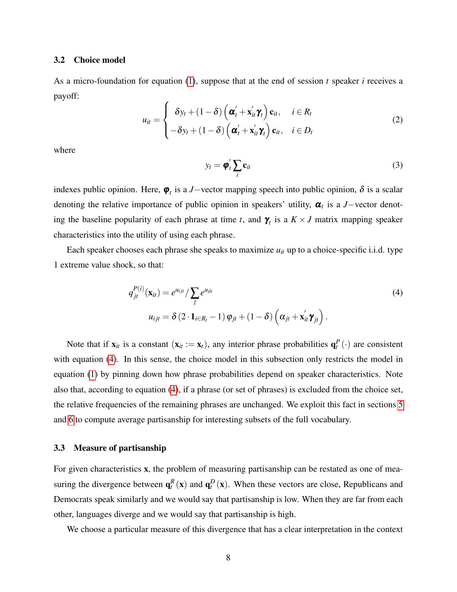#### <span id="page-8-1"></span>3.2 Choice model

As a micro-foundation for equation [\(1\)](#page-7-0), suppose that at the end of session *t* speaker *i* receives a payoff:

$$
u_{it} = \begin{cases} \delta y_t + (1 - \delta) \left( \boldsymbol{\alpha}'_t + \mathbf{x}'_{it} \boldsymbol{\gamma}_t \right) \mathbf{c}_{it}, & i \in R_t \\ -\delta y_t + (1 - \delta) \left( \boldsymbol{\alpha}'_t + \mathbf{x}'_{it} \boldsymbol{\gamma}_t \right) \mathbf{c}_{it}, & i \in D_t \end{cases}
$$
(2)

where

<span id="page-8-0"></span>
$$
y_t = \boldsymbol{\varphi}_t' \sum_i \mathbf{c}_{it} \tag{3}
$$

indexes public opinion. Here,  $\varphi_t$  is a *J*−vector mapping speech into public opinion,  $\delta$  is a scalar denoting the relative importance of public opinion in speakers' utility,  $\alpha_t$  is a *J*-vector denoting the baseline popularity of each phrase at time *t*, and  $\gamma_t$  is a  $K \times J$  matrix mapping speaker characteristics into the utility of using each phrase.

Each speaker chooses each phrase she speaks to maximize *uit* up to a choice-specific i.i.d. type 1 extreme value shock, so that:

$$
q_{jt}^{P(i)}(\mathbf{x}_{it}) = e^{u_{ijt}} / \sum_{l} e^{u_{ilt}}
$$
  
\n
$$
u_{ijt} = \delta (2 \cdot \mathbf{1}_{i \in R_t} - 1) \varphi_{jt} + (1 - \delta) \left( \alpha_{jt} + \mathbf{x}_{it}' \gamma_{jt} \right).
$$
\n(4)

Note that if  $\mathbf{x}_{it}$  is a constant  $(\mathbf{x}_{it} := \mathbf{x}_t)$ , any interior phrase probabilities  $\mathbf{q}_t^P(\cdot)$  are consistent with equation [\(4\)](#page-8-0). In this sense, the choice model in this subsection only restricts the model in equation [\(1\)](#page-7-0) by pinning down how phrase probabilities depend on speaker characteristics. Note also that, according to equation [\(4\)](#page-8-0), if a phrase (or set of phrases) is excluded from the choice set, the relative frequencies of the remaining phrases are unchanged. We exploit this fact in sections [5](#page-13-0) and [6](#page-21-0) to compute average partisanship for interesting subsets of the full vocabulary.

#### 3.3 Measure of partisanship

For given characteristics x, the problem of measuring partisanship can be restated as one of measuring the divergence between  $\mathbf{q}_t^R(\mathbf{x})$  and  $\mathbf{q}_t^D(\mathbf{x})$ . When these vectors are close, Republicans and Democrats speak similarly and we would say that partisanship is low. When they are far from each other, languages diverge and we would say that partisanship is high.

We choose a particular measure of this divergence that has a clear interpretation in the context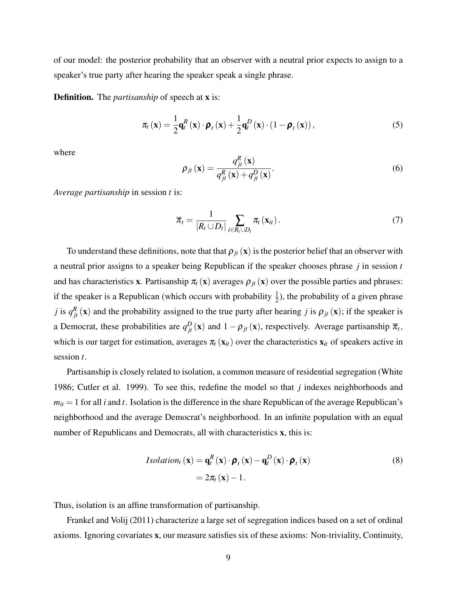of our model: the posterior probability that an observer with a neutral prior expects to assign to a speaker's true party after hearing the speaker speak a single phrase.

**Definition.** The *partisanship* of speech at **x** is:

<span id="page-9-0"></span>
$$
\pi_t(\mathbf{x}) = \frac{1}{2}\mathbf{q}_t^R(\mathbf{x}) \cdot \boldsymbol{\rho}_t(\mathbf{x}) + \frac{1}{2}\mathbf{q}_t^D(\mathbf{x}) \cdot (1 - \boldsymbol{\rho}_t(\mathbf{x})),
$$
\n(5)

where

$$
\rho_{jt}(\mathbf{x}) = \frac{q_{jt}^R(\mathbf{x})}{q_{jt}^R(\mathbf{x}) + q_{jt}^D(\mathbf{x})}.
$$
\n(6)

*Average partisanship* in session *t* is:

<span id="page-9-1"></span>
$$
\overline{\pi}_t = \frac{1}{|R_t \cup D_t|} \sum_{i \in R_t \cup D_t} \pi_t(\mathbf{x}_{it}). \tag{7}
$$

To understand these definitions, note that that  $\rho_{it}(x)$  is the posterior belief that an observer with a neutral prior assigns to a speaker being Republican if the speaker chooses phrase *j* in session *t* and has characteristics **x**. Partisanship  $\pi_t$  (**x**) averages  $\rho_{it}$  (**x**) over the possible parties and phrases: if the speaker is a Republican (which occurs with probability  $\frac{1}{2}$ ), the probability of a given phrase *j* is  $q_{jt}^R(x)$  and the probability assigned to the true party after hearing *j* is  $\rho_{jt}(x)$ ; if the speaker is a Democrat, these probabilities are  $q_{jt}^D(\mathbf{x})$  and  $1 - \rho_{jt}(\mathbf{x})$ , respectively. Average partisanship  $\overline{\pi}_t$ , which is our target for estimation, averages  $\pi_t(\mathbf{x}_{it})$  over the characteristics  $\mathbf{x}_{it}$  of speakers active in session *t*.

Partisanship is closely related to isolation, a common measure of residential segregation (White 1986; Cutler et al. 1999). To see this, redefine the model so that *j* indexes neighborhoods and  $m_{it} = 1$  for all *i* and *t*. Isolation is the difference in the share Republican of the average Republican's neighborhood and the average Democrat's neighborhood. In an infinite population with an equal number of Republicans and Democrats, all with characteristics **x**, this is:

$$
Isolationt(\mathbf{x}) = \mathbf{q}_t^R(\mathbf{x}) \cdot \boldsymbol{\rho}_t(\mathbf{x}) - \mathbf{q}_t^D(\mathbf{x}) \cdot \boldsymbol{\rho}_t(\mathbf{x})
$$
  
=  $2\pi_t(\mathbf{x}) - 1$ . (8)

Thus, isolation is an affine transformation of partisanship.

Frankel and Volij (2011) characterize a large set of segregation indices based on a set of ordinal axioms. Ignoring covariates x, our measure satisfies six of these axioms: Non-triviality, Continuity,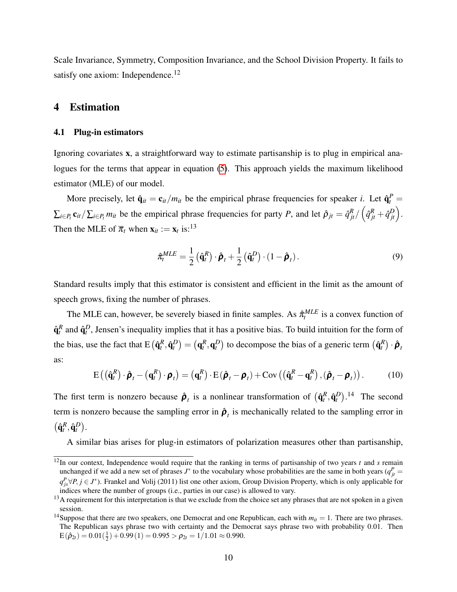Scale Invariance, Symmetry, Composition Invariance, and the School Division Property. It fails to satisfy one axiom: Independence.<sup>12</sup>

## 4 Estimation

#### <span id="page-10-1"></span>4.1 Plug-in estimators

Ignoring covariates x, a straightforward way to estimate partisanship is to plug in empirical ana-logues for the terms that appear in equation [\(5\)](#page-9-0). This approach yields the maximum likelihood estimator (MLE) of our model.

More precisely, let  $\hat{\mathbf{q}}_{it} = \mathbf{c}_{it}/m_{it}$  be the empirical phrase frequencies for speaker *i*. Let  $\hat{\mathbf{q}}_t^P =$  $\sum_{i \in P_t} \mathbf{c}_{it} / \sum_{i \in P_t} m_{it}$  be the empirical phrase frequencies for party P, and let  $\hat{\rho}_{jt} = \hat{q}_{jt}^R / (\hat{q}_{jt}^R + \hat{q}_{jt}^D)$ . Then the MLE of  $\overline{\pi}_t$  when  $\mathbf{x}_{it} := \mathbf{x}_t$  is:<sup>13</sup>

$$
\hat{\pi}_t^{MLE} = \frac{1}{2} \left( \hat{\mathbf{q}}_t^R \right) \cdot \hat{\boldsymbol{\rho}}_t + \frac{1}{2} \left( \hat{\mathbf{q}}_t^D \right) \cdot \left( 1 - \hat{\boldsymbol{\rho}}_t \right). \tag{9}
$$

Standard results imply that this estimator is consistent and efficient in the limit as the amount of speech grows, fixing the number of phrases.

The MLE can, however, be severely biased in finite samples. As  $\hat{\pi}^{MLE}_{t}$  is a convex function of  $\hat{\mathbf{q}}_t^R$  and  $\hat{\mathbf{q}}_t^D$ , Jensen's inequality implies that it has a positive bias. To build intuition for the form of the bias, use the fact that  $E\left(\hat{\mathbf{q}}_t^R, \hat{\mathbf{q}}_t^D\right) = \left(\mathbf{q}_t^R, \mathbf{q}_t^D\right)$  to decompose the bias of a generic term  $\left(\hat{\mathbf{q}}_t^R\right) \cdot \hat{\boldsymbol{\rho}}_t$ as:

<span id="page-10-0"></span>
$$
E((\hat{\mathbf{q}}_t^R)\cdot\hat{\boldsymbol{\rho}}_t-(\mathbf{q}_t^R)\cdot\boldsymbol{\rho}_t)=(\mathbf{q}_t^R)\cdot E(\hat{\boldsymbol{\rho}}_t-\boldsymbol{\rho}_t)+Cov((\hat{\mathbf{q}}_t^R-\mathbf{q}_t^R),(\hat{\boldsymbol{\rho}}_t-\boldsymbol{\rho}_t)).
$$
 (10)

The first term is nonzero because  $\hat{\rho}_t$  is a nonlinear transformation of  $(\hat{q}_t^R, \hat{q}_t^D)$ .<sup>14</sup> The second term is nonzero because the sampling error in  $\hat{\rho}_t$  is mechanically related to the sampling error in  $(\hat{\mathbf{q}}_t^R, \hat{\mathbf{q}}_t^D).$ 

A similar bias arises for plug-in estimators of polarization measures other than partisanship,

 $\frac{12}{12}$ In our context, Independence would require that the ranking in terms of partisanship of two years *t* and *s* remain unchanged if we add a new set of phrases  $J^*$  to the vocabulary whose probabilities are the same in both years  $(q_{jt}^P =$  $q_{js}^P \forall P, j \in J^*$ ). Frankel and Volij (2011) list one other axiom, Group Division Property, which is only applicable for indices where the number of groups (i.e., parties in our case) is allowed to vary.

<sup>&</sup>lt;sup>13</sup>A requirement for this interpretation is that we exclude from the choice set any phrases that are not spoken in a given session.

<sup>&</sup>lt;sup>14</sup>Suppose that there are two speakers, one Democrat and one Republican, each with  $m_{it} = 1$ . There are two phrases. The Republican says phrase two with certainty and the Democrat says phrase two with probability 0.01. Then  $E(\hat{\rho}_{2t}) = 0.01(\frac{1}{2}) + 0.99(1) = 0.995 > \rho_{2t} = 1/1.01 \approx 0.990.$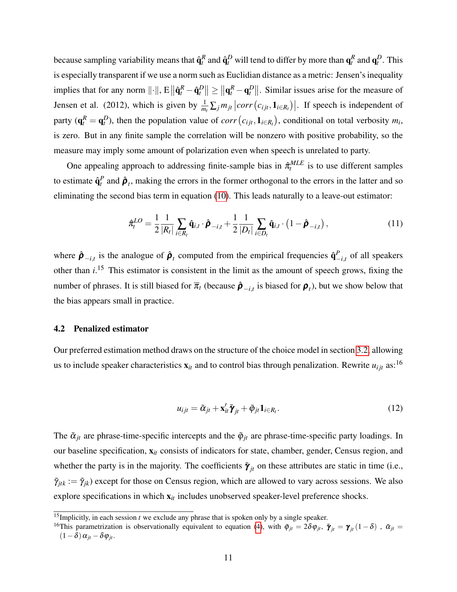because sampling variability means that  $\hat{\bf q}_t^R$  and  $\hat{\bf q}_t^D$  will tend to differ by more than  ${\bf q}_t^R$  and  ${\bf q}_t^D$ . This is especially transparent if we use a norm such as Euclidian distance as a metric: Jensen's inequality implies that for any norm  $||\cdot||$ ,  $E||\hat{\mathbf{q}}_t^R - \hat{\mathbf{q}}_t^D|| \ge ||\mathbf{q}_t^R - \mathbf{q}_t^D||$ . Similar issues arise for the measure of Jensen et al. (2012), which is given by  $\frac{1}{m_t} \sum_j m_{jt} |corr(c_{ijt}, \mathbf{1}_{i \in R_t})|$ . If speech is independent of party  $(q_t^R = q_t^D)$ , then the population value of *corr*  $(c_{ijt}, 1_{i \in R_t})$ , conditional on total verbosity  $m_i$ , is zero. But in any finite sample the correlation will be nonzero with positive probability, so the measure may imply some amount of polarization even when speech is unrelated to party.

One appealing approach to addressing finite-sample bias in  $\hat{\pi}_{t}^{MLE}$  is to use different samples to estimate  $\hat{\mathbf{q}}_t^P$  and  $\hat{\boldsymbol{\rho}}_t$ , making the errors in the former orthogonal to the errors in the latter and so eliminating the second bias term in equation [\(10\)](#page-10-0). This leads naturally to a leave-out estimator:

$$
\hat{\pi}_t^{LO} = \frac{1}{2} \frac{1}{|R_t|} \sum_{i \in R_t} \hat{\mathbf{q}}_{i,t} \cdot \hat{\boldsymbol{\rho}}_{-i,t} + \frac{1}{2} \frac{1}{|D_t|} \sum_{i \in D_t} \hat{\mathbf{q}}_{i,t} \cdot (1 - \hat{\boldsymbol{\rho}}_{-i,t}),
$$
(11)

where  $\hat{\boldsymbol{\rho}}_{-i,t}$  is the analogue of  $\hat{\boldsymbol{\rho}}_t$  computed from the empirical frequencies  $\hat{\mathbf{q}}_{-i,t}^P$  of all speakers other than  $i^{15}$ . This estimator is consistent in the limit as the amount of speech grows, fixing the number of phrases. It is still biased for  $\overline{\pi}_t$  (because  $\hat{\rho}_{-i,t}$  is biased for  $\rho_t$ ), but we show below that the bias appears small in practice.

#### <span id="page-11-1"></span>4.2 Penalized estimator

Our preferred estimation method draws on the structure of the choice model in section [3.2,](#page-8-1) allowing us to include speaker characteristics  $\mathbf{x}_{it}$  and to control bias through penalization. Rewrite  $u_{ijt}$  as:<sup>16</sup>

<span id="page-11-0"></span>
$$
u_{ijt} = \tilde{\alpha}_{jt} + \mathbf{x}_{it}' \tilde{\boldsymbol{\gamma}}_{jt} + \tilde{\varphi}_{jt} \mathbf{1}_{i \in R_t}.
$$
\n(12)

The  $\tilde{\alpha}_{jt}$  are phrase-time-specific intercepts and the  $\tilde{\varphi}_{jt}$  are phrase-time-specific party loadings. In our baseline specification, x*it* consists of indicators for state, chamber, gender, Census region, and whether the party is in the majority. The coefficients  $\tilde{\gamma}_{jt}$  on these attributes are static in time (i.e.,  $\tilde{\gamma}_{itk} := \tilde{\gamma}_{ik}$  except for those on Census region, which are allowed to vary across sessions. We also explore specifications in which  $x_{it}$  includes unobserved speaker-level preference shocks.

<sup>&</sup>lt;sup>15</sup>Implicitly, in each session *t* we exclude any phrase that is spoken only by a single speaker.

<sup>&</sup>lt;sup>16</sup>This parametrization is observationally equivalent to equation [\(4\)](#page-8-0), with  $\tilde{\varphi}_{jt} = 2\delta\varphi_{jt}$ ,  $\tilde{\gamma}_{jt} = \gamma_{jt}(1-\delta)$ ,  $\tilde{\alpha}_{jt} =$  $(1-\delta)\alpha_{it} - \delta\varphi_{it}$ .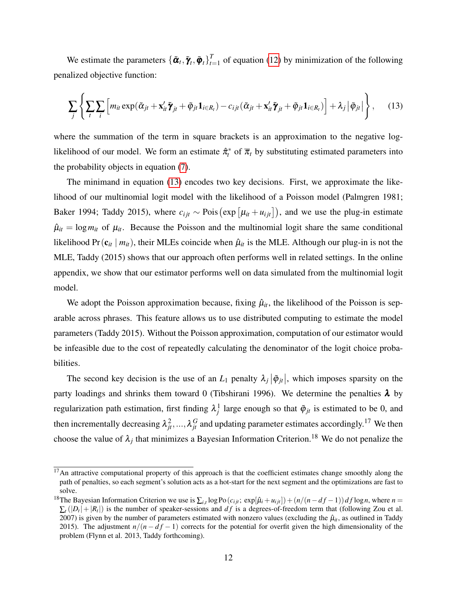We estimate the parameters  $\{\boldsymbol{\tilde{\alpha}}_t, \boldsymbol{\tilde{\gamma}}_t, \boldsymbol{\tilde{\varphi}}_t\}_{t=1}^T$  $t_{t=1}$  of equation [\(12\)](#page-11-0) by minimization of the following penalized objective function:

<span id="page-12-0"></span>
$$
\sum_{j} \left\{ \sum_{t} \sum_{i} \left[ m_{it} \exp(\tilde{\alpha}_{jt} + \mathbf{x}_{it}' \tilde{\pmb{\gamma}}_{jt} + \tilde{\varphi}_{jt} \mathbf{1}_{i \in R_t}) - c_{ijt} (\tilde{\alpha}_{jt} + \mathbf{x}_{it}' \tilde{\pmb{\gamma}}_{jt} + \tilde{\varphi}_{jt} \mathbf{1}_{i \in R_t}) \right] + \lambda_j \left| \tilde{\varphi}_{jt} \right| \right\}, \qquad (13)
$$

where the summation of the term in square brackets is an approximation to the negative loglikelihood of our model. We form an estimate  $\hat{\pi}_t^*$  of  $\overline{\pi}_t$  by substituting estimated parameters into the probability objects in equation [\(7\)](#page-9-1).

The minimand in equation [\(13\)](#page-12-0) encodes two key decisions. First, we approximate the likelihood of our multinomial logit model with the likelihood of a Poisson model (Palmgren 1981; Baker 1994; Taddy 2015), where  $c_{ijt} \sim \text{Pois}(\exp[\mu_{it} + \mu_{ijt}])$ , and we use the plug-in estimate  $\hat{\mu}_{it} = \log m_{it}$  of  $\mu_{it}$ . Because the Poisson and the multinomial logit share the same conditional likelihood Pr( $c_{it}$  |  $m_{it}$ ), their MLEs coincide when  $\hat{\mu}_{it}$  is the MLE. Although our plug-in is not the MLE, Taddy (2015) shows that our approach often performs well in related settings. In the online appendix, we show that our estimator performs well on data simulated from the multinomial logit model.

We adopt the Poisson approximation because, fixing  $\hat{\mu}_{it}$ , the likelihood of the Poisson is separable across phrases. This feature allows us to use distributed computing to estimate the model parameters (Taddy 2015). Without the Poisson approximation, computation of our estimator would be infeasible due to the cost of repeatedly calculating the denominator of the logit choice probabilities.

The second key decision is the use of an  $L_1$  penalty  $\lambda_j |\tilde{\varphi}_{jt}|$ , which imposes sparsity on the party loadings and shrinks them toward 0 (Tibshirani 1996). We determine the penalties  $\lambda$  by regularization path estimation, first finding  $\lambda_j^1$  large enough so that  $\tilde{\varphi}_{jt}$  is estimated to be 0, and then incrementally decreasing  $\lambda_{jt}^2, ..., \lambda_{jt}^G$  and updating parameter estimates accordingly.<sup>17</sup> We then choose the value of  $\lambda_j$  that minimizes a Bayesian Information Criterion.<sup>18</sup> We do not penalize the

 $17$ An attractive computational property of this approach is that the coefficient estimates change smoothly along the path of penalties, so each segment's solution acts as a hot-start for the next segment and the optimizations are fast to solve.

<sup>&</sup>lt;sup>18</sup>The Bayesian Information Criterion we use is  $\sum_{i,t} \log \text{Po}(c_{ijt}; \exp[\hat{\mu}_i + u_{ijt}]) + (n/(n-df-1)) df \log n$ , where  $n =$  $\sum_{t}(|D_t|+|R_t|)$  is the number of speaker-sessions and *df* is a degrees-of-freedom term that (following Zou et al. 2007) is given by the number of parameters estimated with nonzero values (excluding the  $\hat{\mu}_{it}$ , as outlined in Taddy 2015). The adjustment  $n/(n - df - 1)$  corrects for the potential for overfit given the high dimensionality of the problem (Flynn et al. 2013, Taddy forthcoming).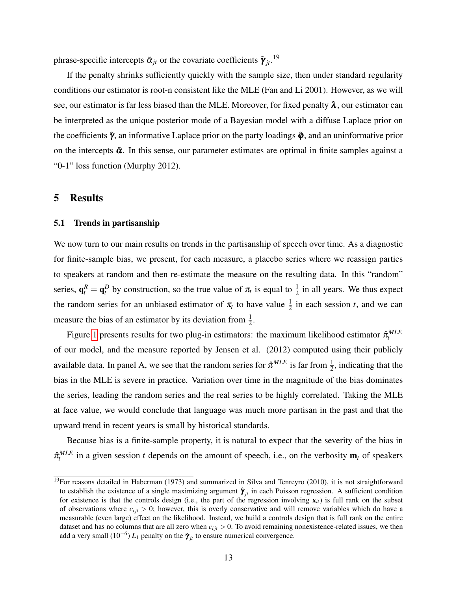phrase-specific intercepts  $\tilde{\alpha}_{jt}$  or the covariate coefficients  $\tilde{\gamma}_{jt}$ .<sup>19</sup>

If the penalty shrinks sufficiently quickly with the sample size, then under standard regularity conditions our estimator is root-n consistent like the MLE (Fan and Li 2001). However, as we will see, our estimator is far less biased than the MLE. Moreover, for fixed penalty  $\lambda$ , our estimator can be interpreted as the unique posterior mode of a Bayesian model with a diffuse Laplace prior on the coefficients  $\tilde{\gamma}$ , an informative Laplace prior on the party loadings  $\tilde{\varphi}$ , and an uninformative prior on the intercepts  $\tilde{\alpha}$ . In this sense, our parameter estimates are optimal in finite samples against a "0-1" loss function (Murphy 2012).

## <span id="page-13-0"></span>5 Results

#### 5.1 Trends in partisanship

We now turn to our main results on trends in the partisanship of speech over time. As a diagnostic for finite-sample bias, we present, for each measure, a placebo series where we reassign parties to speakers at random and then re-estimate the measure on the resulting data. In this "random" series,  $\mathbf{q}_t^R = \mathbf{q}_t^D$  by construction, so the true value of  $\pi_t$  is equal to  $\frac{1}{2}$  in all years. We thus expect the random series for an unbiased estimator of  $\pi$ <sub>t</sub> to have value  $\frac{1}{2}$  in each session *t*, and we can measure the bias of an estimator by its deviation from  $\frac{1}{2}$ .

Figure [1](#page-35-0) presents results for two plug-in estimators: the maximum likelihood estimator  $\hat{\pi}_t^{MLE}$ of our model, and the measure reported by Jensen et al. (2012) computed using their publicly available data. In panel A, we see that the random series for  $\hat{\pi}^{MLE}$  is far from  $\frac{1}{2}$ , indicating that the bias in the MLE is severe in practice. Variation over time in the magnitude of the bias dominates the series, leading the random series and the real series to be highly correlated. Taking the MLE at face value, we would conclude that language was much more partisan in the past and that the upward trend in recent years is small by historical standards.

Because bias is a finite-sample property, it is natural to expect that the severity of the bias in  $\hat{\pi}_t^{MLE}$  in a given session *t* depends on the amount of speech, i.e., on the verbosity  $\mathbf{m}_t$  of speakers

<sup>&</sup>lt;sup>19</sup>For reasons detailed in Haberman (1973) and summarized in Silva and Tenreyro (2010), it is not straightforward to establish the existence of a single maximizing argument  $\hat{\gamma}_{jt}$  in each Poisson regression. A sufficient condition for existence is that the controls design (i.e., the part of the regression involving  $\mathbf{x}_{it}$ ) is full rank on the subset of observations where  $c_{ij}$   $>$  0; however, this is overly conservative and will remove variables which do have a measurable (even large) effect on the likelihood. Instead, we build a controls design that is full rank on the entire dataset and has no columns that are all zero when  $c_{ij}$   $t > 0$ . To avoid remaining nonexistence-related issues, we then add a very small  $(10^{-6}) L_1$  penalty on the  $\tilde{\gamma}_{jt}$  to ensure numerical convergence.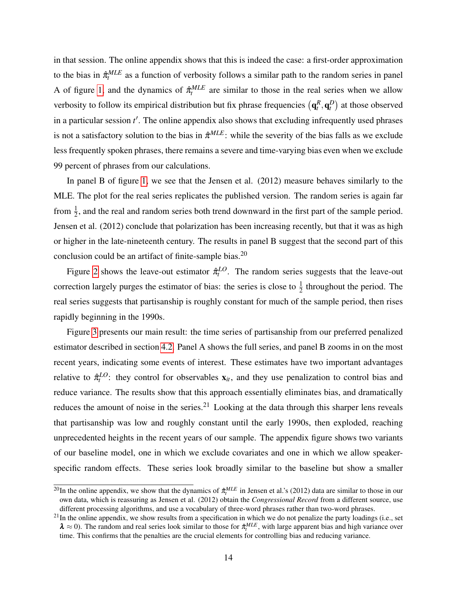in that session. The online appendix shows that this is indeed the case: a first-order approximation to the bias in  $\hat{\pi}^{MLE}_t$  as a function of verbosity follows a similar path to the random series in panel A of figure [1,](#page-35-0) and the dynamics of  $\hat{\pi}_{t}^{MLE}$  are similar to those in the real series when we allow verbosity to follow its empirical distribution but fix phrase frequencies  $(\mathbf{q}_t^R, \mathbf{q}_t^D)$  at those observed in a particular session t'. The online appendix also shows that excluding infrequently used phrases is not a satisfactory solution to the bias in  $\hat{\pi}^{MLE}$ : while the severity of the bias falls as we exclude less frequently spoken phrases, there remains a severe and time-varying bias even when we exclude 99 percent of phrases from our calculations.

In panel B of figure [1,](#page-35-0) we see that the Jensen et al. (2012) measure behaves similarly to the MLE. The plot for the real series replicates the published version. The random series is again far from  $\frac{1}{2}$ , and the real and random series both trend downward in the first part of the sample period. Jensen et al. (2012) conclude that polarization has been increasing recently, but that it was as high or higher in the late-nineteenth century. The results in panel B suggest that the second part of this conclusion could be an artifact of finite-sample bias. $^{20}$ 

Figure [2](#page-36-0) shows the leave-out estimator  $\hat{\pi}_t^{LO}$ . The random series suggests that the leave-out correction largely purges the estimator of bias: the series is close to  $\frac{1}{2}$  throughout the period. The real series suggests that partisanship is roughly constant for much of the sample period, then rises rapidly beginning in the 1990s.

Figure [3](#page-37-0) presents our main result: the time series of partisanship from our preferred penalized estimator described in section [4.2.](#page-11-1) Panel A shows the full series, and panel B zooms in on the most recent years, indicating some events of interest. These estimates have two important advantages relative to  $\hat{\pi}_t^{LO}$ : they control for observables  $\mathbf{x}_{it}$ , and they use penalization to control bias and reduce variance. The results show that this approach essentially eliminates bias, and dramatically reduces the amount of noise in the series.<sup>21</sup> Looking at the data through this sharper lens reveals that partisanship was low and roughly constant until the early 1990s, then exploded, reaching unprecedented heights in the recent years of our sample. The appendix figure shows two variants of our baseline model, one in which we exclude covariates and one in which we allow speakerspecific random effects. These series look broadly similar to the baseline but show a smaller

<sup>&</sup>lt;sup>20</sup>In the online appendix, we show that the dynamics of  $\hat{\pi}_t^{MLE}$  in Jensen et al.'s (2012) data are similar to those in our own data, which is reassuring as Jensen et al. (2012) obtain the *Congressional Record* from a different source, use different processing algorithms, and use a vocabulary of three-word phrases rather than two-word phrases.

 $21$ In the online appendix, we show results from a specification in which we do not penalize the party loadings (i.e., set  $\lambda \approx 0$ ). The random and real series look similar to those for  $\hat{\pi}^{MLE}_t$ , with large apparent bias and high variance over time. This confirms that the penalties are the crucial elements for controlling bias and reducing variance.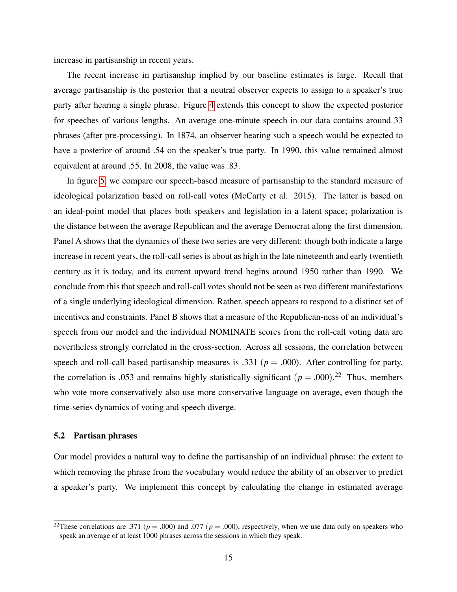increase in partisanship in recent years.

The recent increase in partisanship implied by our baseline estimates is large. Recall that average partisanship is the posterior that a neutral observer expects to assign to a speaker's true party after hearing a single phrase. Figure [4](#page-38-0) extends this concept to show the expected posterior for speeches of various lengths. An average one-minute speech in our data contains around 33 phrases (after pre-processing). In 1874, an observer hearing such a speech would be expected to have a posterior of around .54 on the speaker's true party. In 1990, this value remained almost equivalent at around .55. In 2008, the value was .83.

In figure [5,](#page-39-0) we compare our speech-based measure of partisanship to the standard measure of ideological polarization based on roll-call votes (McCarty et al. 2015). The latter is based on an ideal-point model that places both speakers and legislation in a latent space; polarization is the distance between the average Republican and the average Democrat along the first dimension. Panel A shows that the dynamics of these two series are very different: though both indicate a large increase in recent years, the roll-call series is about as high in the late nineteenth and early twentieth century as it is today, and its current upward trend begins around 1950 rather than 1990. We conclude from this that speech and roll-call votes should not be seen as two different manifestations of a single underlying ideological dimension. Rather, speech appears to respond to a distinct set of incentives and constraints. Panel B shows that a measure of the Republican-ness of an individual's speech from our model and the individual NOMINATE scores from the roll-call voting data are nevertheless strongly correlated in the cross-section. Across all sessions, the correlation between speech and roll-call based partisanship measures is .331 ( $p = .000$ ). After controlling for party, the correlation is .053 and remains highly statistically significant  $(p = .000).^{22}$  Thus, members who vote more conservatively also use more conservative language on average, even though the time-series dynamics of voting and speech diverge.

### 5.2 Partisan phrases

Our model provides a natural way to define the partisanship of an individual phrase: the extent to which removing the phrase from the vocabulary would reduce the ability of an observer to predict a speaker's party. We implement this concept by calculating the change in estimated average

<sup>&</sup>lt;sup>22</sup>These correlations are .371 ( $p = .000$ ) and .077 ( $p = .000$ ), respectively, when we use data only on speakers who speak an average of at least 1000 phrases across the sessions in which they speak.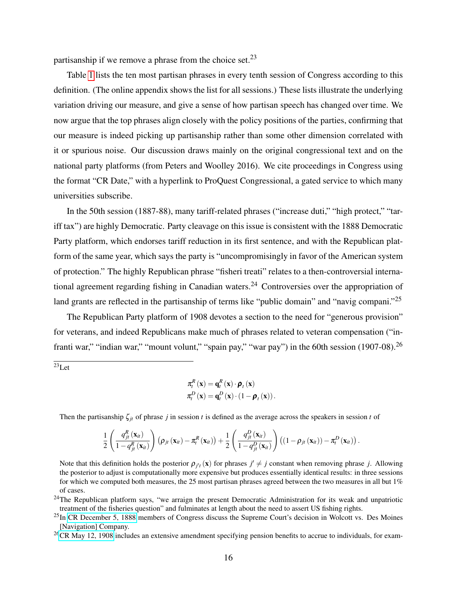partisanship if we remove a phrase from the choice set.<sup>23</sup>

Table [1](#page-34-0) lists the ten most partisan phrases in every tenth session of Congress according to this definition. (The online appendix shows the list for all sessions.) These lists illustrate the underlying variation driving our measure, and give a sense of how partisan speech has changed over time. We now argue that the top phrases align closely with the policy positions of the parties, confirming that our measure is indeed picking up partisanship rather than some other dimension correlated with it or spurious noise. Our discussion draws mainly on the original congressional text and on the national party platforms (from Peters and Woolley 2016). We cite proceedings in Congress using the format "CR Date," with a hyperlink to ProQuest Congressional, a gated service to which many universities subscribe.

In the 50th session (1887-88), many tariff-related phrases ("increase duti," "high protect," "tariff tax") are highly Democratic. Party cleavage on this issue is consistent with the 1888 Democratic Party platform, which endorses tariff reduction in its first sentence, and with the Republican platform of the same year, which says the party is "uncompromisingly in favor of the American system of protection." The highly Republican phrase "fisheri treati" relates to a then-controversial international agreement regarding fishing in Canadian waters.<sup>24</sup> Controversies over the appropriation of land grants are reflected in the partisanship of terms like "public domain" and "navig compani."<sup>25</sup>

The Republican Party platform of 1908 devotes a section to the need for "generous provision" for veterans, and indeed Republicans make much of phrases related to veteran compensation ("infranti war," "indian war," "mount volunt," "spain pay," "war pay") in the 60th session (1907-08).  $^{26}$ 

 $\overline{^{23}}$ Let

$$
\pi_t^R(\mathbf{x}) = \mathbf{q}_t^R(\mathbf{x}) \cdot \boldsymbol{\rho}_t(\mathbf{x})
$$

$$
\pi_t^D(\mathbf{x}) = \mathbf{q}_t^D(\mathbf{x}) \cdot (1 - \boldsymbol{\rho}_t(\mathbf{x})).
$$

Then the partisanship  $\zeta_{jt}$  of phrase *j* in session *t* is defined as the average across the speakers in session *t* of

$$
\frac{1}{2}\left(\frac{q_{jt}^R\left(\mathbf{x}_{it}\right)}{1-q_{jt}^R\left(\mathbf{x}_{it}\right)}\right)\left(\rho_{jt}\left(\mathbf{x}_{it}\right)-\pi_t^R\left(\mathbf{x}_{it}\right)\right)+\frac{1}{2}\left(\frac{q_{jt}^D\left(\mathbf{x}_{it}\right)}{1-q_{jt}^D\left(\mathbf{x}_{it}\right)}\right)\left(\left(1-\rho_{jt}\left(\mathbf{x}_{it}\right)\right)-\pi_t^D\left(\mathbf{x}_{it}\right)\right).
$$

Note that this definition holds the posterior  $\rho_{j't}(\mathbf{x})$  for phrases  $j' \neq j$  constant when removing phrase *j*. Allowing the posterior to adjust is computationally more expensive but produces essentially identical results: in three sessions for which we computed both measures, the 25 most partisan phrases agreed between the two measures in all but  $1\%$ of cases.

<sup>24</sup>The Republican platform says, "we arraign the present Democratic Administration for its weak and unpatriotic treatment of the fisheries question" and fulminates at length about the need to assert US fishing rights.

 $^{25}$ In [CR December 5, 1888](http://congressional.proquest.com/congressional/docview/t19.d20.cr-1888-1205) members of Congress discuss the Supreme Court's decision in Wolcott vs. Des Moines [Navigation] Company.

 $^{26}$ [CR May 12, 1908](http://congressional.proquest.com:80/congressional/docview/t19.d20.cr-1908-0312) includes an extensive amendment specifying pension benefits to accrue to individuals, for exam-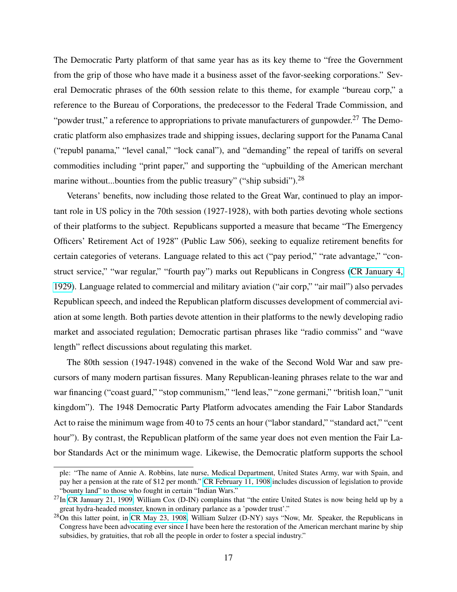The Democratic Party platform of that same year has as its key theme to "free the Government from the grip of those who have made it a business asset of the favor-seeking corporations." Several Democratic phrases of the 60th session relate to this theme, for example "bureau corp," a reference to the Bureau of Corporations, the predecessor to the Federal Trade Commission, and "powder trust," a reference to appropriations to private manufacturers of gunpowder.<sup>27</sup> The Democratic platform also emphasizes trade and shipping issues, declaring support for the Panama Canal ("republ panama," "level canal," "lock canal"), and "demanding" the repeal of tariffs on several commodities including "print paper," and supporting the "upbuilding of the American merchant marine without...bounties from the public treasury" ("ship subsidi").<sup>28</sup>

Veterans' benefits, now including those related to the Great War, continued to play an important role in US policy in the 70th session (1927-1928), with both parties devoting whole sections of their platforms to the subject. Republicans supported a measure that became "The Emergency Officers' Retirement Act of 1928" (Public Law 506), seeking to equalize retirement benefits for certain categories of veterans. Language related to this act ("pay period," "rate advantage," "construct service," "war regular," "fourth pay") marks out Republicans in Congress [\(CR January 4,](http://congressional.proquest.com/congressional/docview/t19.d20.cr-1929-0104) [1929\)](http://congressional.proquest.com/congressional/docview/t19.d20.cr-1929-0104). Language related to commercial and military aviation ("air corp," "air mail") also pervades Republican speech, and indeed the Republican platform discusses development of commercial aviation at some length. Both parties devote attention in their platforms to the newly developing radio market and associated regulation; Democratic partisan phrases like "radio commiss" and "wave length" reflect discussions about regulating this market.

The 80th session (1947-1948) convened in the wake of the Second Wold War and saw precursors of many modern partisan fissures. Many Republican-leaning phrases relate to the war and war financing ("coast guard," "stop communism," "lend leas," "zone germani," "british loan," "unit kingdom"). The 1948 Democratic Party Platform advocates amending the Fair Labor Standards Act to raise the minimum wage from 40 to 75 cents an hour ("labor standard," "standard act," "cent hour"). By contrast, the Republican platform of the same year does not even mention the Fair Labor Standards Act or the minimum wage. Likewise, the Democratic platform supports the school

ple: "The name of Annie A. Robbins, late nurse, Medical Department, United States Army, war with Spain, and pay her a pension at the rate of \$12 per month." [CR February 11, 1908](http://congressional.proquest.com/congressional/docview/t19.d20.cr-1908-0211) includes discussion of legislation to provide "bounty land" to those who fought in certain "Indian Wars."

 $^{27}$ In [CR January 21, 1909,](http://congressional.proquest.com:80/congressional/docview/t19.d20.cr-1909-0121) William Cox (D-IN) complains that "the entire United States is now being held up by a great hydra-headed monster, known in ordinary parlance as a 'powder trust'."

<sup>&</sup>lt;sup>28</sup>On this latter point, in [CR May 23, 1908,](http://congressional.proquest.com/congressional/docview/t19.d20.cr-1908-0523) William Sulzer (D-NY) says "Now, Mr. Speaker, the Republicans in Congress have been advocating ever since I have been here the restoration of the American merchant marine by ship subsidies, by gratuities, that rob all the people in order to foster a special industry."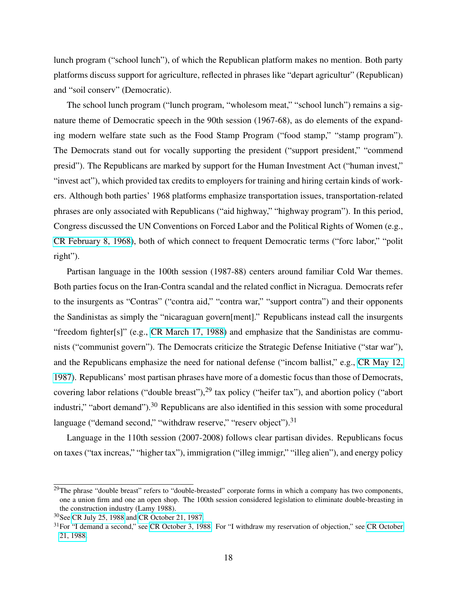lunch program ("school lunch"), of which the Republican platform makes no mention. Both party platforms discuss support for agriculture, reflected in phrases like "depart agricultur" (Republican) and "soil conserv" (Democratic).

The school lunch program ("lunch program, "wholesom meat," "school lunch") remains a signature theme of Democratic speech in the 90th session (1967-68), as do elements of the expanding modern welfare state such as the Food Stamp Program ("food stamp," "stamp program"). The Democrats stand out for vocally supporting the president ("support president," "commend presid"). The Republicans are marked by support for the Human Investment Act ("human invest," "invest act"), which provided tax credits to employers for training and hiring certain kinds of workers. Although both parties' 1968 platforms emphasize transportation issues, transportation-related phrases are only associated with Republicans ("aid highway," "highway program"). In this period, Congress discussed the UN Conventions on Forced Labor and the Political Rights of Women (e.g., [CR February 8, 1968\)](http://congressional.proquest.com/congressional/docview/t19.d20.cr-1968-0208), both of which connect to frequent Democratic terms ("forc labor," "polit right").

Partisan language in the 100th session (1987-88) centers around familiar Cold War themes. Both parties focus on the Iran-Contra scandal and the related conflict in Nicragua. Democrats refer to the insurgents as "Contras" ("contra aid," "contra war," "support contra") and their opponents the Sandinistas as simply the "nicaraguan govern[ment]." Republicans instead call the insurgents "freedom fighter[s]" (e.g., [CR March 17, 1988\)](http://congressional.proquest.com:80/congressional/docview/t17.d18.9e42effae734da0b) and emphasize that the Sandinistas are communists ("communist govern"). The Democrats criticize the Strategic Defense Initiative ("star war"), and the Republicans emphasize the need for national defense ("incom ballist," e.g., [CR May 12,](http://congressional.proquest.com:80/congressional/docview/t19.d20.cr-1987-0512) [1987\)](http://congressional.proquest.com:80/congressional/docview/t19.d20.cr-1987-0512). Republicans' most partisan phrases have more of a domestic focus than those of Democrats, covering labor relations ("double breast"),<sup>29</sup> tax policy ("heifer tax"), and abortion policy ("abort") industri," "abort demand").<sup>30</sup> Republicans are also identified in this session with some procedural language ("demand second," "withdraw reserve," "reserv object").<sup>31</sup>

Language in the 110th session (2007-2008) follows clear partisan divides. Republicans focus on taxes ("tax increas," "higher tax"), immigration ("illeg immigr," "illeg alien"), and energy policy

<sup>&</sup>lt;sup>29</sup>The phrase "double breast" refers to "double-breasted" corporate forms in which a company has two components, one a union firm and one an open shop. The 100th session considered legislation to eliminate double-breasting in the construction industry (Lamy 1988).

<sup>30</sup>See [CR July 25, 1988](http://congressional.proquest.com:80/congressional/docview/t19.d20.cr-1988-0725?accountid=9758) and [CR October 21, 1987.](http://congressional.proquest.com:80/congressional/docview/t19.d20.cr-1987-1021?accountid=9758)

<sup>&</sup>lt;sup>31</sup>For "I demand a second," see [CR October 3, 1988.]((http://congressional.proquest.com:80/congressional/docview/t19.d20.cr-1988-1003) For "I withdraw my reservation of objection," see [CR October](http://congressional.proquest.com:80/congressional/docview/t19.d20.cr-1988-1021) [21, 1988.](http://congressional.proquest.com:80/congressional/docview/t19.d20.cr-1988-1021)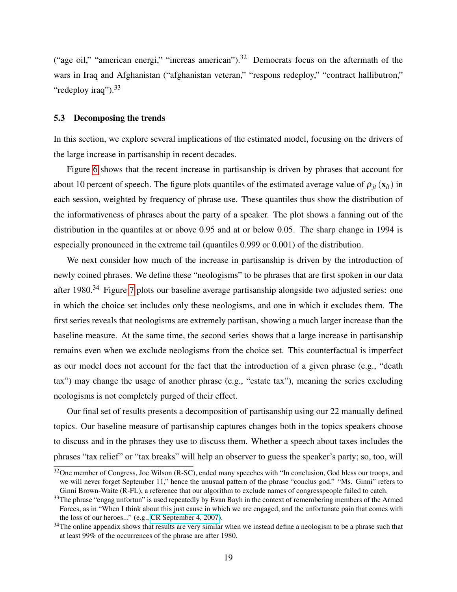("age oil," "american energi," "increas american").<sup>32</sup> Democrats focus on the aftermath of the wars in Iraq and Afghanistan ("afghanistan veteran," "respons redeploy," "contract hallibutron," "redeploy iraq").<sup>33</sup>

#### 5.3 Decomposing the trends

In this section, we explore several implications of the estimated model, focusing on the drivers of the large increase in partisanship in recent decades.

Figure [6](#page-40-0) shows that the recent increase in partisanship is driven by phrases that account for about 10 percent of speech. The figure plots quantiles of the estimated average value of  $\rho_{it}(\mathbf{x}_{it})$  in each session, weighted by frequency of phrase use. These quantiles thus show the distribution of the informativeness of phrases about the party of a speaker. The plot shows a fanning out of the distribution in the quantiles at or above 0.95 and at or below 0.05. The sharp change in 1994 is especially pronounced in the extreme tail (quantiles 0.999 or 0.001) of the distribution.

We next consider how much of the increase in partisanship is driven by the introduction of newly coined phrases. We define these "neologisms" to be phrases that are first spoken in our data after 1980.<sup>34</sup> Figure [7](#page-41-0) plots our baseline average partisanship alongside two adjusted series: one in which the choice set includes only these neologisms, and one in which it excludes them. The first series reveals that neologisms are extremely partisan, showing a much larger increase than the baseline measure. At the same time, the second series shows that a large increase in partisanship remains even when we exclude neologisms from the choice set. This counterfactual is imperfect as our model does not account for the fact that the introduction of a given phrase (e.g., "death tax") may change the usage of another phrase (e.g., "estate tax"), meaning the series excluding neologisms is not completely purged of their effect.

Our final set of results presents a decomposition of partisanship using our 22 manually defined topics. Our baseline measure of partisanship captures changes both in the topics speakers choose to discuss and in the phrases they use to discuss them. Whether a speech about taxes includes the phrases "tax relief" or "tax breaks" will help an observer to guess the speaker's party; so, too, will

<sup>&</sup>lt;sup>32</sup>One member of Congress, Joe Wilson (R-SC), ended many speeches with "In conclusion, God bless our troops, and we will never forget September 11," hence the unusual pattern of the phrase "conclus god." "Ms. Ginni" refers to Ginni Brown-Waite (R-FL), a reference that our algorithm to exclude names of congresspeople failed to catch.

<sup>&</sup>lt;sup>33</sup>The phrase "engag unfortun" is used repeatedly by Evan Bayh in the context of remembering members of the Armed Forces, as in "When I think about this just cause in which we are engaged, and the unfortunate pain that comes with the loss of our heroes..." (e.g., [CR September 4, 2007\)](http://congressional.proquest.com/congressional/docview/t17.d18.c1dfdd5560002043).

<sup>&</sup>lt;sup>34</sup>The online appendix shows that results are very similar when we instead define a neologism to be a phrase such that at least 99% of the occurrences of the phrase are after 1980.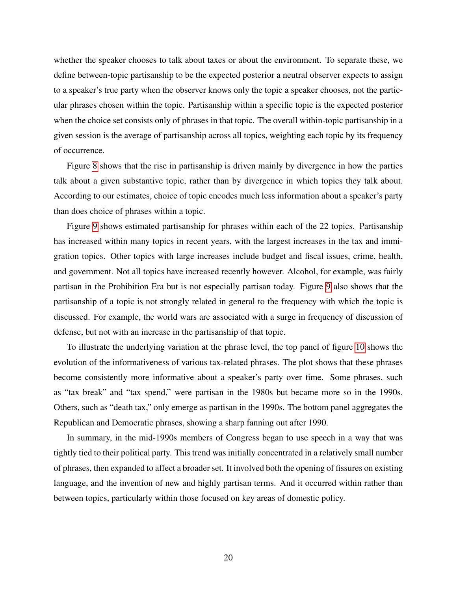whether the speaker chooses to talk about taxes or about the environment. To separate these, we define between-topic partisanship to be the expected posterior a neutral observer expects to assign to a speaker's true party when the observer knows only the topic a speaker chooses, not the particular phrases chosen within the topic. Partisanship within a specific topic is the expected posterior when the choice set consists only of phrases in that topic. The overall within-topic partisanship in a given session is the average of partisanship across all topics, weighting each topic by its frequency of occurrence.

Figure [8](#page-42-0) shows that the rise in partisanship is driven mainly by divergence in how the parties talk about a given substantive topic, rather than by divergence in which topics they talk about. According to our estimates, choice of topic encodes much less information about a speaker's party than does choice of phrases within a topic.

Figure [9](#page-43-0) shows estimated partisanship for phrases within each of the 22 topics. Partisanship has increased within many topics in recent years, with the largest increases in the tax and immigration topics. Other topics with large increases include budget and fiscal issues, crime, health, and government. Not all topics have increased recently however. Alcohol, for example, was fairly partisan in the Prohibition Era but is not especially partisan today. Figure [9](#page-43-0) also shows that the partisanship of a topic is not strongly related in general to the frequency with which the topic is discussed. For example, the world wars are associated with a surge in frequency of discussion of defense, but not with an increase in the partisanship of that topic.

To illustrate the underlying variation at the phrase level, the top panel of figure [10](#page-44-0) shows the evolution of the informativeness of various tax-related phrases. The plot shows that these phrases become consistently more informative about a speaker's party over time. Some phrases, such as "tax break" and "tax spend," were partisan in the 1980s but became more so in the 1990s. Others, such as "death tax," only emerge as partisan in the 1990s. The bottom panel aggregates the Republican and Democratic phrases, showing a sharp fanning out after 1990.

In summary, in the mid-1990s members of Congress began to use speech in a way that was tightly tied to their political party. This trend was initially concentrated in a relatively small number of phrases, then expanded to affect a broader set. It involved both the opening of fissures on existing language, and the invention of new and highly partisan terms. And it occurred within rather than between topics, particularly within those focused on key areas of domestic policy.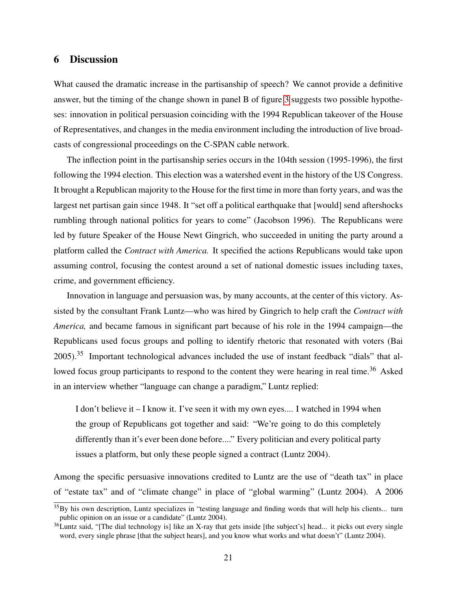## <span id="page-21-0"></span>6 Discussion

What caused the dramatic increase in the partisanship of speech? We cannot provide a definitive answer, but the timing of the change shown in panel B of figure [3](#page-37-0) suggests two possible hypotheses: innovation in political persuasion coinciding with the 1994 Republican takeover of the House of Representatives, and changes in the media environment including the introduction of live broadcasts of congressional proceedings on the C-SPAN cable network.

The inflection point in the partisanship series occurs in the 104th session (1995-1996), the first following the 1994 election. This election was a watershed event in the history of the US Congress. It brought a Republican majority to the House for the first time in more than forty years, and was the largest net partisan gain since 1948. It "set off a political earthquake that [would] send aftershocks rumbling through national politics for years to come" (Jacobson 1996). The Republicans were led by future Speaker of the House Newt Gingrich, who succeeded in uniting the party around a platform called the *Contract with America.* It specified the actions Republicans would take upon assuming control, focusing the contest around a set of national domestic issues including taxes, crime, and government efficiency.

Innovation in language and persuasion was, by many accounts, at the center of this victory. Assisted by the consultant Frank Luntz—who was hired by Gingrich to help craft the *Contract with America,* and became famous in significant part because of his role in the 1994 campaign—the Republicans used focus groups and polling to identify rhetoric that resonated with voters (Bai  $2005$ ).<sup>35</sup> Important technological advances included the use of instant feedback "dials" that allowed focus group participants to respond to the content they were hearing in real time.<sup>36</sup> Asked in an interview whether "language can change a paradigm," Luntz replied:

I don't believe it – I know it. I've seen it with my own eyes.... I watched in 1994 when the group of Republicans got together and said: "We're going to do this completely differently than it's ever been done before...." Every politician and every political party issues a platform, but only these people signed a contract (Luntz 2004).

Among the specific persuasive innovations credited to Luntz are the use of "death tax" in place of "estate tax" and of "climate change" in place of "global warming" (Luntz 2004). A 2006

 $35$ By his own description, Luntz specializes in "testing language and finding words that will help his clients... turn public opinion on an issue or a candidate" (Luntz 2004).

 $36$ Luntz said, "[The dial technology is] like an X-ray that gets inside [the subject's] head... it picks out every single word, every single phrase [that the subject hears], and you know what works and what doesn't" (Luntz 2004).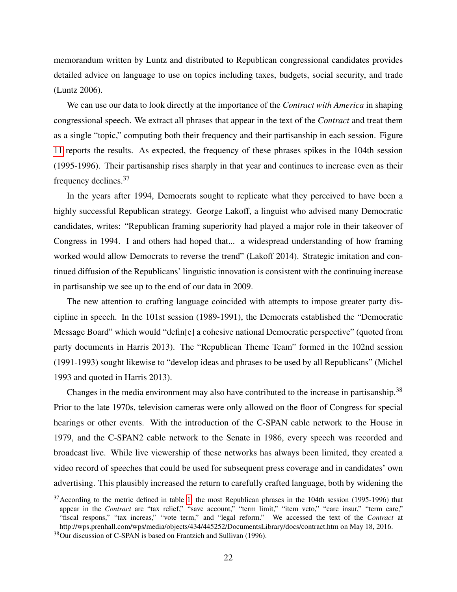memorandum written by Luntz and distributed to Republican congressional candidates provides detailed advice on language to use on topics including taxes, budgets, social security, and trade (Luntz 2006).

We can use our data to look directly at the importance of the *Contract with America* in shaping congressional speech. We extract all phrases that appear in the text of the *Contract* and treat them as a single "topic," computing both their frequency and their partisanship in each session. Figure [11](#page-45-0) reports the results. As expected, the frequency of these phrases spikes in the 104th session (1995-1996). Their partisanship rises sharply in that year and continues to increase even as their frequency declines.<sup>37</sup>

In the years after 1994, Democrats sought to replicate what they perceived to have been a highly successful Republican strategy. George Lakoff, a linguist who advised many Democratic candidates, writes: "Republican framing superiority had played a major role in their takeover of Congress in 1994. I and others had hoped that... a widespread understanding of how framing worked would allow Democrats to reverse the trend" (Lakoff 2014). Strategic imitation and continued diffusion of the Republicans' linguistic innovation is consistent with the continuing increase in partisanship we see up to the end of our data in 2009.

The new attention to crafting language coincided with attempts to impose greater party discipline in speech. In the 101st session (1989-1991), the Democrats established the "Democratic Message Board" which would "defin[e] a cohesive national Democratic perspective" (quoted from party documents in Harris 2013). The "Republican Theme Team" formed in the 102nd session (1991-1993) sought likewise to "develop ideas and phrases to be used by all Republicans" (Michel 1993 and quoted in Harris 2013).

Changes in the media environment may also have contributed to the increase in partisanship.<sup>38</sup> Prior to the late 1970s, television cameras were only allowed on the floor of Congress for special hearings or other events. With the introduction of the C-SPAN cable network to the House in 1979, and the C-SPAN2 cable network to the Senate in 1986, every speech was recorded and broadcast live. While live viewership of these networks has always been limited, they created a video record of speeches that could be used for subsequent press coverage and in candidates' own advertising. This plausibly increased the return to carefully crafted language, both by widening the

 $37$ According to the metric defined in table [1,](#page-34-0) the most Republican phrases in the 104th session (1995-1996) that appear in the *Contract* are "tax relief," "save account," "term limit," "item veto," "care insur," "term care," "fiscal respons," "tax increas," "vote term," and "legal reform." We accessed the text of the *Contract* at http://wps.prenhall.com/wps/media/objects/434/445252/DocumentsLibrary/docs/contract.htm on May 18, 2016.

<sup>38</sup>Our discussion of C-SPAN is based on Frantzich and Sullivan (1996).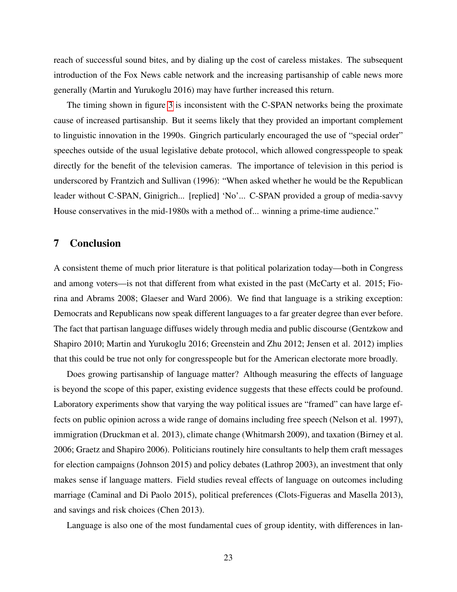reach of successful sound bites, and by dialing up the cost of careless mistakes. The subsequent introduction of the Fox News cable network and the increasing partisanship of cable news more generally (Martin and Yurukoglu 2016) may have further increased this return.

The timing shown in figure [3](#page-37-0) is inconsistent with the C-SPAN networks being the proximate cause of increased partisanship. But it seems likely that they provided an important complement to linguistic innovation in the 1990s. Gingrich particularly encouraged the use of "special order" speeches outside of the usual legislative debate protocol, which allowed congresspeople to speak directly for the benefit of the television cameras. The importance of television in this period is underscored by Frantzich and Sullivan (1996): "When asked whether he would be the Republican leader without C-SPAN, Ginigrich... [replied] 'No'... C-SPAN provided a group of media-savvy House conservatives in the mid-1980s with a method of... winning a prime-time audience."

## 7 Conclusion

A consistent theme of much prior literature is that political polarization today—both in Congress and among voters—is not that different from what existed in the past (McCarty et al. 2015; Fiorina and Abrams 2008; Glaeser and Ward 2006). We find that language is a striking exception: Democrats and Republicans now speak different languages to a far greater degree than ever before. The fact that partisan language diffuses widely through media and public discourse (Gentzkow and Shapiro 2010; Martin and Yurukoglu 2016; Greenstein and Zhu 2012; Jensen et al. 2012) implies that this could be true not only for congresspeople but for the American electorate more broadly.

Does growing partisanship of language matter? Although measuring the effects of language is beyond the scope of this paper, existing evidence suggests that these effects could be profound. Laboratory experiments show that varying the way political issues are "framed" can have large effects on public opinion across a wide range of domains including free speech (Nelson et al. 1997), immigration (Druckman et al. 2013), climate change (Whitmarsh 2009), and taxation (Birney et al. 2006; Graetz and Shapiro 2006). Politicians routinely hire consultants to help them craft messages for election campaigns (Johnson 2015) and policy debates (Lathrop 2003), an investment that only makes sense if language matters. Field studies reveal effects of language on outcomes including marriage (Caminal and Di Paolo 2015), political preferences (Clots-Figueras and Masella 2013), and savings and risk choices (Chen 2013).

Language is also one of the most fundamental cues of group identity, with differences in lan-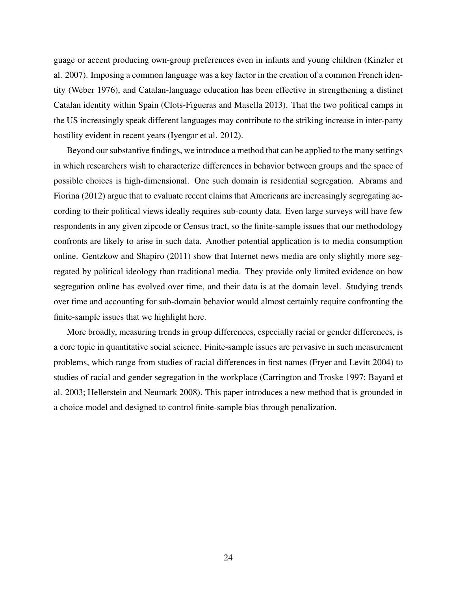guage or accent producing own-group preferences even in infants and young children (Kinzler et al. 2007). Imposing a common language was a key factor in the creation of a common French identity (Weber 1976), and Catalan-language education has been effective in strengthening a distinct Catalan identity within Spain (Clots-Figueras and Masella 2013). That the two political camps in the US increasingly speak different languages may contribute to the striking increase in inter-party hostility evident in recent years (Iyengar et al. 2012).

Beyond our substantive findings, we introduce a method that can be applied to the many settings in which researchers wish to characterize differences in behavior between groups and the space of possible choices is high-dimensional. One such domain is residential segregation. Abrams and Fiorina (2012) argue that to evaluate recent claims that Americans are increasingly segregating according to their political views ideally requires sub-county data. Even large surveys will have few respondents in any given zipcode or Census tract, so the finite-sample issues that our methodology confronts are likely to arise in such data. Another potential application is to media consumption online. Gentzkow and Shapiro (2011) show that Internet news media are only slightly more segregated by political ideology than traditional media. They provide only limited evidence on how segregation online has evolved over time, and their data is at the domain level. Studying trends over time and accounting for sub-domain behavior would almost certainly require confronting the finite-sample issues that we highlight here.

More broadly, measuring trends in group differences, especially racial or gender differences, is a core topic in quantitative social science. Finite-sample issues are pervasive in such measurement problems, which range from studies of racial differences in first names (Fryer and Levitt 2004) to studies of racial and gender segregation in the workplace (Carrington and Troske 1997; Bayard et al. 2003; Hellerstein and Neumark 2008). This paper introduces a new method that is grounded in a choice model and designed to control finite-sample bias through penalization.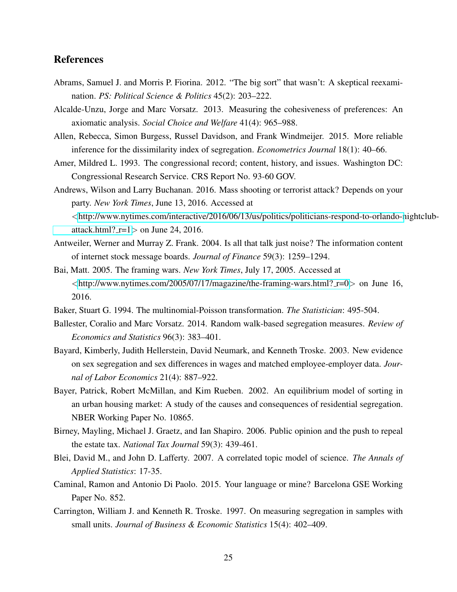# References

- Abrams, Samuel J. and Morris P. Fiorina. 2012. "The big sort" that wasn't: A skeptical reexamination. *PS: Political Science & Politics* 45(2): 203–222.
- Alcalde-Unzu, Jorge and Marc Vorsatz. 2013. Measuring the cohesiveness of preferences: An axiomatic analysis. *Social Choice and Welfare* 41(4): 965–988.
- Allen, Rebecca, Simon Burgess, Russel Davidson, and Frank Windmeijer. 2015. More reliable inference for the dissimilarity index of segregation. *Econometrics Journal* 18(1): 40–66.
- Amer, Mildred L. 1993. The congressional record; content, history, and issues. Washington DC: Congressional Research Service. CRS Report No. 93-60 GOV.
- Andrews, Wilson and Larry Buchanan. 2016. Mass shooting or terrorist attack? Depends on your party. *New York Times*, June 13, 2016. Accessed at <[http://www.nytimes.com/interactive/2016/06/13/us/politics/politicians-respond-to-orlando-n](http://www.nytimes.com/interactive/2016/06/13/us/politics/politicians-respond-to-orlando-nightclub-attack.html?_r=1)ightclub[attack.html?](http://www.nytimes.com/interactive/2016/06/13/us/politics/politicians-respond-to-orlando-nightclub-attack.html?_r=1) $r=1>$  on June 24, 2016.
- Antweiler, Werner and Murray Z. Frank. 2004. Is all that talk just noise? The information content of internet stock message boards. *Journal of Finance* 59(3): 1259–1294.
- Bai, Matt. 2005. The framing wars. *New York Times*, July 17, 2005. Accessed at  $\lt$ [http://www.nytimes.com/2005/07/17/magazine/the-framing-wars.html?](http://www.nytimes.com/2005/07/17/magazine/the-framing-wars.html?_r=0)  $r=0$  on June 16, 2016.
- Baker, Stuart G. 1994. The multinomial-Poisson transformation. *The Statistician*: 495-504.
- Ballester, Coralio and Marc Vorsatz. 2014. Random walk-based segregation measures. *Review of Economics and Statistics* 96(3): 383–401.
- Bayard, Kimberly, Judith Hellerstein, David Neumark, and Kenneth Troske. 2003. New evidence on sex segregation and sex differences in wages and matched employee-employer data. *Journal of Labor Economics* 21(4): 887–922.
- Bayer, Patrick, Robert McMillan, and Kim Rueben. 2002. An equilibrium model of sorting in an urban housing market: A study of the causes and consequences of residential segregation. NBER Working Paper No. 10865.
- Birney, Mayling, Michael J. Graetz, and Ian Shapiro. 2006. Public opinion and the push to repeal the estate tax. *National Tax Journal* 59(3): 439-461.
- Blei, David M., and John D. Lafferty. 2007. A correlated topic model of science. *The Annals of Applied Statistics*: 17-35.
- Caminal, Ramon and Antonio Di Paolo. 2015. Your language or mine? Barcelona GSE Working Paper No. 852.
- Carrington, William J. and Kenneth R. Troske. 1997. On measuring segregation in samples with small units. *Journal of Business & Economic Statistics* 15(4): 402–409.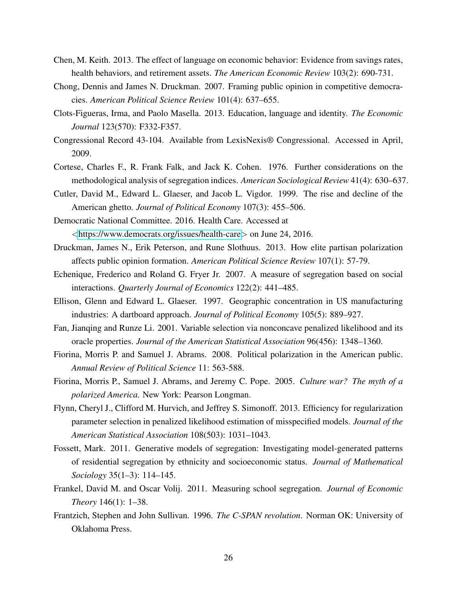- Chen, M. Keith. 2013. The effect of language on economic behavior: Evidence from savings rates, health behaviors, and retirement assets. *The American Economic Review* 103(2): 690-731.
- Chong, Dennis and James N. Druckman. 2007. Framing public opinion in competitive democracies. *American Political Science Review* 101(4): 637–655.
- Clots-Figueras, Irma, and Paolo Masella. 2013. Education, language and identity. *The Economic Journal* 123(570): F332-F357.
- Congressional Record 43-104. Available from LexisNexis® Congressional. Accessed in April, 2009.
- Cortese, Charles F., R. Frank Falk, and Jack K. Cohen. 1976. Further considerations on the methodological analysis of segregation indices. *American Sociological Review* 41(4): 630–637.
- Cutler, David M., Edward L. Glaeser, and Jacob L. Vigdor. 1999. The rise and decline of the American ghetto. *Journal of Political Economy* 107(3): 455–506.

Democratic National Committee. 2016. Health Care. Accessed at <<https://www.democrats.org/issues/health-care>> on June 24, 2016.

- Druckman, James N., Erik Peterson, and Rune Slothuus. 2013. How elite partisan polarization affects public opinion formation. *American Political Science Review* 107(1): 57-79.
- Echenique, Frederico and Roland G. Fryer Jr. 2007. A measure of segregation based on social interactions. *Quarterly Journal of Economics* 122(2): 441–485.
- Ellison, Glenn and Edward L. Glaeser. 1997. Geographic concentration in US manufacturing industries: A dartboard approach. *Journal of Political Economy* 105(5): 889–927.
- Fan, Jianqing and Runze Li. 2001. Variable selection via nonconcave penalized likelihood and its oracle properties. *Journal of the American Statistical Association* 96(456): 1348–1360.
- Fiorina, Morris P. and Samuel J. Abrams. 2008. Political polarization in the American public. *Annual Review of Political Science* 11: 563-588.
- Fiorina, Morris P., Samuel J. Abrams, and Jeremy C. Pope. 2005. *Culture war? The myth of a polarized America.* New York: Pearson Longman.
- Flynn, Cheryl J., Clifford M. Hurvich, and Jeffrey S. Simonoff. 2013. Efficiency for regularization parameter selection in penalized likelihood estimation of misspecified models. *Journal of the American Statistical Association* 108(503): 1031–1043.
- Fossett, Mark. 2011. Generative models of segregation: Investigating model-generated patterns of residential segregation by ethnicity and socioeconomic status. *Journal of Mathematical Sociology* 35(1–3): 114–145.
- Frankel, David M. and Oscar Volij. 2011. Measuring school segregation. *Journal of Economic Theory* 146(1): 1–38.
- Frantzich, Stephen and John Sullivan. 1996. *The C-SPAN revolution*. Norman OK: University of Oklahoma Press.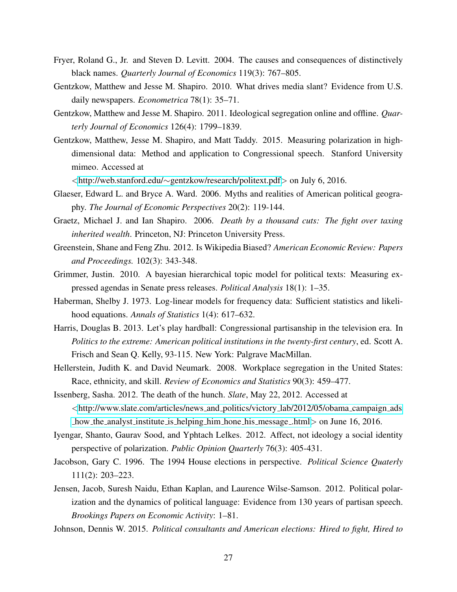- Fryer, Roland G., Jr. and Steven D. Levitt. 2004. The causes and consequences of distinctively black names. *Quarterly Journal of Economics* 119(3): 767–805.
- Gentzkow, Matthew and Jesse M. Shapiro. 2010. What drives media slant? Evidence from U.S. daily newspapers. *Econometrica* 78(1): 35–71.
- Gentzkow, Matthew and Jesse M. Shapiro. 2011. Ideological segregation online and offline. *Quarterly Journal of Economics* 126(4): 1799–1839.
- Gentzkow, Matthew, Jesse M. Shapiro, and Matt Taddy. 2015. Measuring polarization in highdimensional data: Method and application to Congressional speech. Stanford University mimeo. Accessed at

<http://web.stanford.edu/∼[gentzkow/research/politext.pdf](http://web.stanford.edu/~gentzkow/research/politext.pdf)> on July 6, 2016.

- Glaeser, Edward L. and Bryce A. Ward. 2006. Myths and realities of American political geography. *The Journal of Economic Perspectives* 20(2): 119-144.
- Graetz, Michael J. and Ian Shapiro. 2006. *Death by a thousand cuts: The fight over taxing inherited wealth*. Princeton, NJ: Princeton University Press.
- Greenstein, Shane and Feng Zhu. 2012. Is Wikipedia Biased? *American Economic Review: Papers and Proceedings.* 102(3): 343-348.
- Grimmer, Justin. 2010. A bayesian hierarchical topic model for political texts: Measuring expressed agendas in Senate press releases. *Political Analysis* 18(1): 1–35.
- Haberman, Shelby J. 1973. Log-linear models for frequency data: Sufficient statistics and likelihood equations. *Annals of Statistics* 1(4): 617–632.
- Harris, Douglas B. 2013. Let's play hardball: Congressional partisanship in the television era. In *Politics to the extreme: American political institutions in the twenty-first century*, ed. Scott A. Frisch and Sean Q. Kelly, 93-115. New York: Palgrave MacMillan.
- Hellerstein, Judith K. and David Neumark. 2008. Workplace segregation in the United States: Race, ethnicity, and skill. *Review of Economics and Statistics* 90(3): 459–477.
- Issenberg, Sasha. 2012. The death of the hunch. *Slate*, May 22, 2012. Accessed at <[http://www.slate.com/articles/news](http://www.slate.com/articles/news_and_politics/victory_lab/2012/05/obama_campaign_ads_how_the_analyst_institute_is_helping_him_hone_his_message_.html) and politics/victory lab/2012/05/obama campaign ads how the analyst institute is helping him hone his [message](http://www.slate.com/articles/news_and_politics/victory_lab/2012/05/obama_campaign_ads_how_the_analyst_institute_is_helping_him_hone_his_message_.html) .html on June 16, 2016.
- Iyengar, Shanto, Gaurav Sood, and Yphtach Lelkes. 2012. Affect, not ideology a social identity perspective of polarization. *Public Opinion Quarterly* 76(3): 405-431.
- Jacobson, Gary C. 1996. The 1994 House elections in perspective. *Political Science Quaterly* 111(2): 203–223.
- Jensen, Jacob, Suresh Naidu, Ethan Kaplan, and Laurence Wilse-Samson. 2012. Political polarization and the dynamics of political language: Evidence from 130 years of partisan speech. *Brookings Papers on Economic Activity*: 1–81.

Johnson, Dennis W. 2015. *Political consultants and American elections: Hired to fight, Hired to*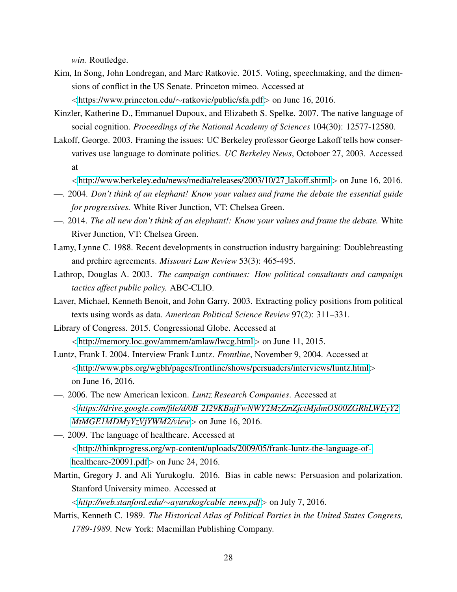*win.* Routledge.

- Kim, In Song, John Londregan, and Marc Ratkovic. 2015. Voting, speechmaking, and the dimensions of conflict in the US Senate. Princeton mimeo. Accessed at <[https://www.princeton.edu/](https://www.princeton.edu/~ratkovic/public/sfa.pdf)∼ratkovic/public/sfa.pdf> on June 16, 2016.
- Kinzler, Katherine D., Emmanuel Dupoux, and Elizabeth S. Spelke. 2007. The native language of social cognition. *Proceedings of the National Academy of Sciences* 104(30): 12577-12580.
- Lakoff, George. 2003. Framing the issues: UC Berkeley professor George Lakoff tells how conservatives use language to dominate politics. *UC Berkeley News*, Octoboer 27, 2003. Accessed at
	- <[http://www.berkeley.edu/news/media/releases/2003/10/27](http://www.berkeley.edu/news/media/releases/2003/10/27_lakoff.shtml) lakoff.shtml> on June 16, 2016.
- —. 2004. *Don't think of an elephant! Know your values and frame the debate the essential guide for progressives.* White River Junction, VT: Chelsea Green.
- —. 2014. *The all new don't think of an elephant!: Know your values and frame the debate.* White River Junction, VT: Chelsea Green.
- Lamy, Lynne C. 1988. Recent developments in construction industry bargaining: Doublebreasting and prehire agreements. *Missouri Law Review* 53(3): 465-495.
- Lathrop, Douglas A. 2003. *The campaign continues: How political consultants and campaign tactics affect public policy.* ABC-CLIO.
- Laver, Michael, Kenneth Benoit, and John Garry. 2003. Extracting policy positions from political texts using words as data. *American Political Science Review* 97(2): 311–331.
- Library of Congress. 2015. Congressional Globe. Accessed at

<<http://memory.loc.gov/ammem/amlaw/lwcg.html>> on June 11, 2015.

- Luntz, Frank I. 2004. Interview Frank Luntz. *Frontline*, November 9, 2004. Accessed at <<http://www.pbs.org/wgbh/pages/frontline/shows/persuaders/interviews/luntz.html>> on June 16, 2016.
- —. 2006. The new American lexicon. *Luntz Research Companies*. Accessed at <*https://drive.google.com/file/d/0B [2I29KBujFwNWY2MzZmZjctMjdmOS00ZGRhLWEyY2](https://drive.google.com/file/d/0B_2I29KBujFwNWY2MzZmZjctMjdmOS00ZGRhLWEyY2MtMGE1MDMyYzVjYWM2/view) [MtMGE1MDMyYzVjYWM2/view](https://drive.google.com/file/d/0B_2I29KBujFwNWY2MzZmZjctMjdmOS00ZGRhLWEyY2MtMGE1MDMyYzVjYWM2/view)*> on June 16, 2016.

—. 2009. The language of healthcare. Accessed at <[http://thinkprogress.org/wp-content/uploads/2009/05/frank-luntz-the-language-of](http://thinkprogress.org/wp-content/uploads/2009/05/frank-luntz-the-language-of-healthcare-20091.pdf)[healthcare-20091.pdf](http://thinkprogress.org/wp-content/uploads/2009/05/frank-luntz-the-language-of-healthcare-20091.pdf) > on June 24, 2016.

Martin, Gregory J. and Ali Yurukoglu. 2016. Bias in cable news: Persuasion and polarization. Stanford University mimeo. Accessed at

<*[http://web.stanford.edu/](http://web.stanford.edu/~ayurukog/cable_news.pdf)*∼*ayurukog/cable news.pdf*> on July 7, 2016.

Martis, Kenneth C. 1989. *The Historical Atlas of Political Parties in the United States Congress, 1789-1989.* New York: Macmillan Publishing Company.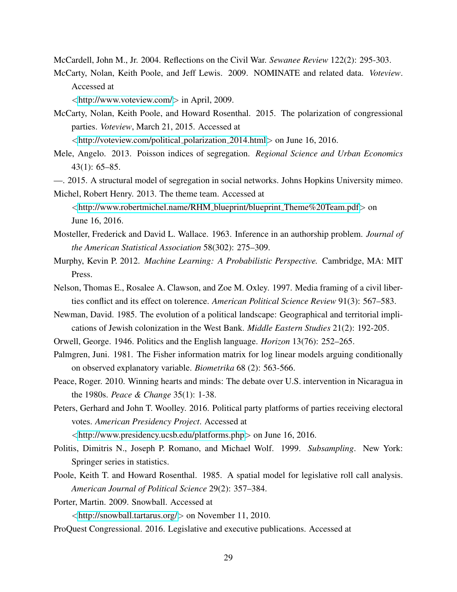McCardell, John M., Jr. 2004. Reflections on the Civil War. *Sewanee Review* 122(2): 295-303.

McCarty, Nolan, Keith Poole, and Jeff Lewis. 2009. NOMINATE and related data. *Voteview*. Accessed at

<<http://www.voteview.com/>> in April, 2009.

McCarty, Nolan, Keith Poole, and Howard Rosenthal. 2015. The polarization of congressional parties. *Voteview*, March 21, 2015. Accessed at

<[http://voteview.com/political](http://voteview.com/political_polarization_2014.html) polarization 2014.html> on June 16, 2016.

- Mele, Angelo. 2013. Poisson indices of segregation. *Regional Science and Urban Economics* 43(1): 65–85.
- —. 2015. A structural model of segregation in social networks. Johns Hopkins University mimeo.

Michel, Robert Henry. 2013. The theme team. Accessed at <[http://www.robertmichel.name/RHM](http://www.robertmichel.name/RHM_blueprint/blueprint_Theme%20Team.pdf) blueprint/blueprint Theme%20Team.pdf> on June 16, 2016.

- Mosteller, Frederick and David L. Wallace. 1963. Inference in an authorship problem. *Journal of the American Statistical Association* 58(302): 275–309.
- Murphy, Kevin P. 2012. *Machine Learning: A Probabilistic Perspective.* Cambridge, MA: MIT Press.
- Nelson, Thomas E., Rosalee A. Clawson, and Zoe M. Oxley. 1997. Media framing of a civil liberties conflict and its effect on tolerence. *American Political Science Review* 91(3): 567–583.
- Newman, David. 1985. The evolution of a political landscape: Geographical and territorial implications of Jewish colonization in the West Bank. *Middle Eastern Studies* 21(2): 192-205.
- Orwell, George. 1946. Politics and the English language. *Horizon* 13(76): 252–265.
- Palmgren, Juni. 1981. The Fisher information matrix for log linear models arguing conditionally on observed explanatory variable. *Biometrika* 68 (2): 563-566.
- Peace, Roger. 2010. Winning hearts and minds: The debate over U.S. intervention in Nicaragua in the 1980s. *Peace & Change* 35(1): 1-38.
- Peters, Gerhard and John T. Woolley. 2016. Political party platforms of parties receiving electoral votes. *American Presidency Project*. Accessed at

<<http://www.presidency.ucsb.edu/platforms.php>> on June 16, 2016.

- Politis, Dimitris N., Joseph P. Romano, and Michael Wolf. 1999. *Subsampling*. New York: Springer series in statistics.
- Poole, Keith T. and Howard Rosenthal. 1985. A spatial model for legislative roll call analysis. *American Journal of Political Science* 29(2): 357–384.
- Porter, Martin. 2009. Snowball. Accessed at

<<http://snowball.tartarus.org/>> on November 11, 2010.

ProQuest Congressional. 2016. Legislative and executive publications. Accessed at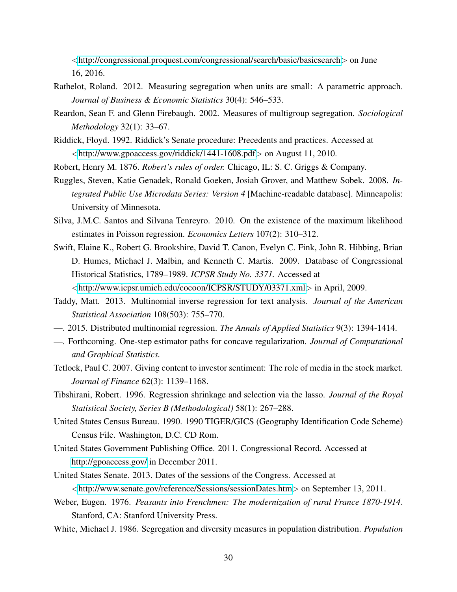<<http://congressional.proquest.com/congressional/search/basic/basicsearch>> on June 16, 2016.

- Rathelot, Roland. 2012. Measuring segregation when units are small: A parametric approach. *Journal of Business & Economic Statistics* 30(4): 546–533.
- Reardon, Sean F. and Glenn Firebaugh. 2002. Measures of multigroup segregation. *Sociological Methodology* 32(1): 33–67.
- Riddick, Floyd. 1992. Riddick's Senate procedure: Precedents and practices. Accessed at <<http://www.gpoaccess.gov/riddick/1441-1608.pdf>> on August 11, 2010.
- Robert, Henry M. 1876. *Robert's rules of order.* Chicago, IL: S. C. Griggs & Company.
- Ruggles, Steven, Katie Genadek, Ronald Goeken, Josiah Grover, and Matthew Sobek. 2008. *Integrated Public Use Microdata Series: Version 4* [Machine-readable database]. Minneapolis: University of Minnesota.
- Silva, J.M.C. Santos and Silvana Tenreyro. 2010. On the existence of the maximum likelihood estimates in Poisson regression. *Economics Letters* 107(2): 310–312.
- Swift, Elaine K., Robert G. Brookshire, David T. Canon, Evelyn C. Fink, John R. Hibbing, Brian D. Humes, Michael J. Malbin, and Kenneth C. Martis. 2009. Database of Congressional Historical Statistics, 1789–1989. *ICPSR Study No. 3371.* Accessed at <<http://www.icpsr.umich.edu/cocoon/ICPSR/STUDY/03371.xml>> in April, 2009.
- Taddy, Matt. 2013. Multinomial inverse regression for text analysis. *Journal of the American Statistical Association* 108(503): 755–770.
- —. 2015. Distributed multinomial regression. *The Annals of Applied Statistics* 9(3): 1394-1414.
- —. Forthcoming. One-step estimator paths for concave regularization. *Journal of Computational and Graphical Statistics.*
- Tetlock, Paul C. 2007. Giving content to investor sentiment: The role of media in the stock market. *Journal of Finance* 62(3): 1139–1168.
- Tibshirani, Robert. 1996. Regression shrinkage and selection via the lasso. *Journal of the Royal Statistical Society, Series B (Methodological)* 58(1): 267–288.
- United States Census Bureau. 1990. 1990 TIGER/GICS (Geography Identification Code Scheme) Census File. Washington, D.C. CD Rom.
- United States Government Publishing Office. 2011. Congressional Record. Accessed at <http://gpoaccess.gov/> in December 2011.
- United States Senate. 2013. Dates of the sessions of the Congress. Accessed at <<http://www.senate.gov/reference/Sessions/sessionDates.htm>> on September 13, 2011.
- Weber, Eugen. 1976. *Peasants into Frenchmen: The modernization of rural France 1870-1914*. Stanford, CA: Stanford University Press.
- White, Michael J. 1986. Segregation and diversity measures in population distribution. *Population*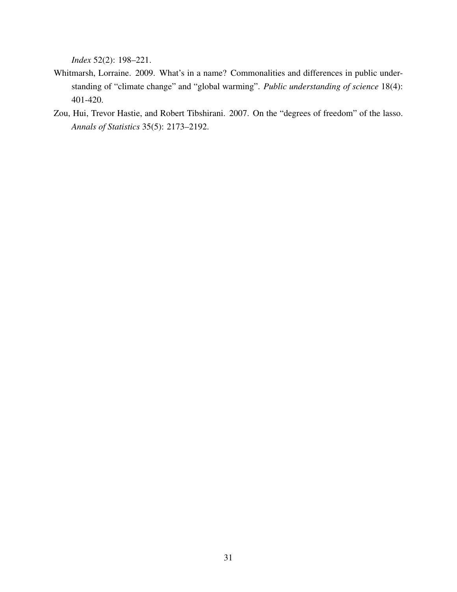*Index* 52(2): 198–221.

- Whitmarsh, Lorraine. 2009. What's in a name? Commonalities and differences in public understanding of "climate change" and "global warming". *Public understanding of science* 18(4): 401-420.
- Zou, Hui, Trevor Hastie, and Robert Tibshirani. 2007. On the "degrees of freedom" of the lasso. *Annals of Statistics* 35(5): 2173–2192.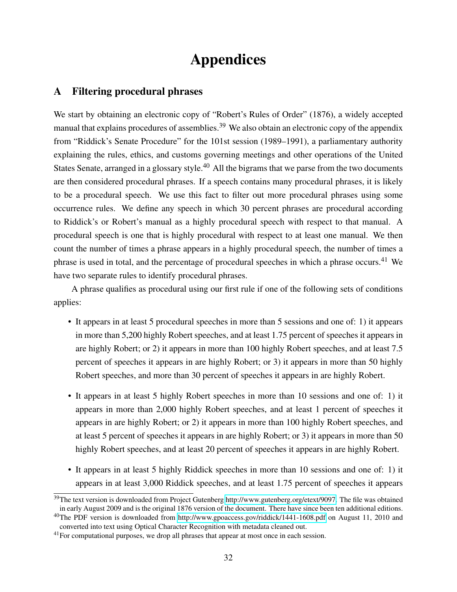# Appendices

# <span id="page-32-0"></span>A Filtering procedural phrases

We start by obtaining an electronic copy of "Robert's Rules of Order" (1876), a widely accepted manual that explains procedures of assemblies.<sup>39</sup> We also obtain an electronic copy of the appendix from "Riddick's Senate Procedure" for the 101st session (1989–1991), a parliamentary authority explaining the rules, ethics, and customs governing meetings and other operations of the United States Senate, arranged in a glossary style.<sup>40</sup> All the bigrams that we parse from the two documents are then considered procedural phrases. If a speech contains many procedural phrases, it is likely to be a procedural speech. We use this fact to filter out more procedural phrases using some occurrence rules. We define any speech in which 30 percent phrases are procedural according to Riddick's or Robert's manual as a highly procedural speech with respect to that manual. A procedural speech is one that is highly procedural with respect to at least one manual. We then count the number of times a phrase appears in a highly procedural speech, the number of times a phrase is used in total, and the percentage of procedural speeches in which a phrase occurs.<sup>41</sup> We have two separate rules to identify procedural phrases.

A phrase qualifies as procedural using our first rule if one of the following sets of conditions applies:

- It appears in at least 5 procedural speeches in more than 5 sessions and one of: 1) it appears in more than 5,200 highly Robert speeches, and at least 1.75 percent of speeches it appears in are highly Robert; or 2) it appears in more than 100 highly Robert speeches, and at least 7.5 percent of speeches it appears in are highly Robert; or 3) it appears in more than 50 highly Robert speeches, and more than 30 percent of speeches it appears in are highly Robert.
- It appears in at least 5 highly Robert speeches in more than 10 sessions and one of: 1) it appears in more than 2,000 highly Robert speeches, and at least 1 percent of speeches it appears in are highly Robert; or 2) it appears in more than 100 highly Robert speeches, and at least 5 percent of speeches it appears in are highly Robert; or 3) it appears in more than 50 highly Robert speeches, and at least 20 percent of speeches it appears in are highly Robert.
- It appears in at least 5 highly Riddick speeches in more than 10 sessions and one of: 1) it appears in at least 3,000 Riddick speeches, and at least 1.75 percent of speeches it appears

<sup>&</sup>lt;sup>39</sup>The text version is downloaded from Project Gutenberg [http://www.gutenberg.org/etext/9097.](http://www.gutenberg.org/etext/9097) The file was obtained in early August 2009 and is the original 1876 version of the document. There have since been ten additional editions.

<sup>&</sup>lt;sup>40</sup>The PDF version is downloaded from<http://www.gpoaccess.gov/riddick/1441-1608.pdf> on August 11, 2010 and converted into text using Optical Character Recognition with metadata cleaned out.

<sup>&</sup>lt;sup>41</sup>For computational purposes, we drop all phrases that appear at most once in each session.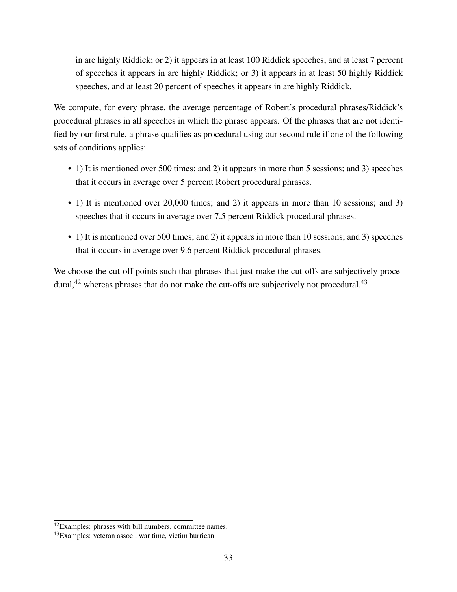in are highly Riddick; or 2) it appears in at least 100 Riddick speeches, and at least 7 percent of speeches it appears in are highly Riddick; or 3) it appears in at least 50 highly Riddick speeches, and at least 20 percent of speeches it appears in are highly Riddick.

We compute, for every phrase, the average percentage of Robert's procedural phrases/Riddick's procedural phrases in all speeches in which the phrase appears. Of the phrases that are not identified by our first rule, a phrase qualifies as procedural using our second rule if one of the following sets of conditions applies:

- 1) It is mentioned over 500 times; and 2) it appears in more than 5 sessions; and 3) speeches that it occurs in average over 5 percent Robert procedural phrases.
- 1) It is mentioned over 20,000 times; and 2) it appears in more than 10 sessions; and 3) speeches that it occurs in average over 7.5 percent Riddick procedural phrases.
- 1) It is mentioned over 500 times; and 2) it appears in more than 10 sessions; and 3) speeches that it occurs in average over 9.6 percent Riddick procedural phrases.

We choose the cut-off points such that phrases that just make the cut-offs are subjectively procedural, $42$  whereas phrases that do not make the cut-offs are subjectively not procedural. $43$ 

<sup>42</sup>Examples: phrases with bill numbers, committee names.

<sup>43</sup>Examples: veteran associ, war time, victim hurrican.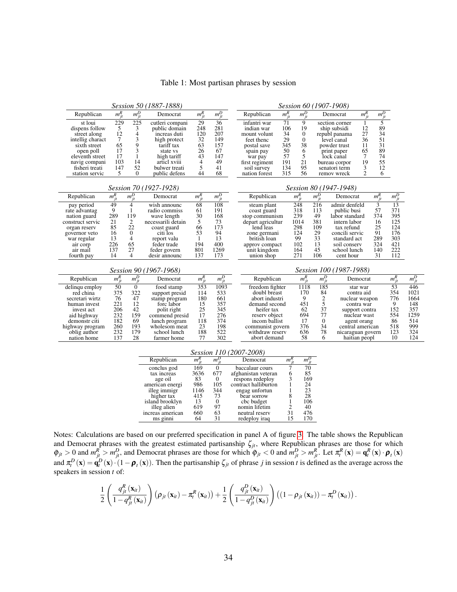<span id="page-34-0"></span>

|                              | Session 60 (1907-1908) |                         |                            |                       |                       |                                  |            |                  |              |                                            |                |            |                       |            |
|------------------------------|------------------------|-------------------------|----------------------------|-----------------------|-----------------------|----------------------------------|------------|------------------|--------------|--------------------------------------------|----------------|------------|-----------------------|------------|
| Republican                   | $m_{jt}^R$             | $m_{jt}^D$              | Democrat                   | $m_{it}^R$            | $m_{jt}^D$            | Republican                       | $m_{jt}^R$ | $m_{jt}^D$       |              | Democrat                                   | $m_{jt}^R$     | $m_{jt}^D$ |                       |            |
| st loui                      | 229                    | $\overline{225}$        | cutleri compani            | 29                    | 36                    | 71<br>infantri war               |            | 9                |              | section corner                             |                | 5          |                       |            |
| dispens follow               | 5                      | 3                       | public domain              | 248                   | 281                   | 106<br>indian war                |            | 19               |              | ship subsidi                               |                | 89         |                       |            |
| street along                 | 12                     | $\overline{\mathbf{4}}$ | increas duti               | 120                   | 207                   | 34<br>mount volunt               |            | $\boldsymbol{0}$ |              | republ panama                              |                | 34         |                       |            |
| intellig charact             | $\overline{7}$         | 3                       | high protect               | 32                    | 149                   | 29<br>feet thenc                 |            | $\boldsymbol{0}$ |              | 36<br>level canal                          |                | 51         |                       |            |
| sixth street                 | 65<br>17               | 9<br>3                  | tariff tax                 | 63<br>26              | 157<br>67             | 345<br>postal save<br>50         |            | 38               |              | powder trust<br>11<br>65                   |                | 31<br>89   |                       |            |
| open poll<br>eleventh street | 17                     | $\mathbf{1}$            | state vs<br>high tariff    | 43                    | 147                   | spain pay<br>57                  |            | 6<br>5           |              | print paper<br>7<br>lock canal             |                | 74         |                       |            |
| navig compani                | 103                    | 14                      | articl xviii               | 4                     | 49                    | war pay<br>191<br>first regiment |            | 21               |              | 19<br>bureau corpor                        |                | 55         |                       |            |
| fisheri treati               | 147                    | 52                      | bulwer treati              | 5                     | 41                    | soil survey                      | 134        | 95               |              | senatori term                              | 3              | 12         |                       |            |
| station servic               | 5                      | $\Omega$                | public defens              | 44                    | 68                    | nation forest                    | 315        | 56               |              | remov wreck                                | $\overline{2}$ | 6          |                       |            |
|                              |                        |                         |                            |                       |                       |                                  |            |                  |              |                                            |                |            |                       |            |
|                              | Session 80 (1947-1948) |                         |                            |                       |                       |                                  |            |                  |              |                                            |                |            |                       |            |
| Republican                   | $m_{jt}^R$             | $m_{jt}^D$              | Democrat                   | $\overline{m_{jt}^R}$ | $\overline{m_{jt}^D}$ | Republican                       |            | $m_{jt}^R$       | $m_{jt}^D$   | Democrat                                   |                | $m_{jt}^R$ | $\overline{m_{jt}^D}$ |            |
| pay period                   | 49                     | $\overline{4}$          | wish announc               | 68                    | 108                   | steam plant                      |            | 248              | 216          | 3<br>admir denfeld                         |                |            | $\overline{13}$       |            |
| rate advantag                | 9                      | $\mathbf{1}$            | radio commiss              | 61                    | 191                   | coast guard                      |            | 318              | 113          | 57<br>public busi                          |                |            | 371                   |            |
| nation guard                 | 289                    | 119                     | wave length                | 30                    | 168                   | stop communism                   |            | 239              | 49           | 374<br>labor standard                      |                |            | 395                   |            |
| construct servic             | 21                     | 2                       | necessarili detain         | 5                     | 73                    | depart agricultur                |            | 1014             | 381          | 16<br>intern labor                         |                |            | 125                   |            |
| organ reserv                 | 85                     | 22                      | coast guard                | 66                    | 173                   | lend leas                        |            | 298              | 109          | 25<br>tax refund                           |                |            | 124                   |            |
| governor veto                | 16                     | $\mathbf{0}$            | citi los                   | 53                    | 94                    | zone germani                     |            | 124              | 29           | 91<br>concili servic                       |                |            | 176                   |            |
| war regular                  | 13<br>226              | $\overline{4}$<br>65    | report valu<br>feder trade | 1<br>194              | 13<br>400             | british loan                     |            | 99<br>102        | 33<br>13     | 289<br>standard act<br>324<br>soil conserv |                |            | 303<br>421            |            |
| air corp<br>air mail         | 137                    | 27                      | feder govern               | 801                   | 1269                  | approv compact<br>unit kingdom   |            | 164              | 45           | school lunch                               |                | 140        | 222                   |            |
| fourth pay                   | 14                     | $\overline{4}$          | desir announc              | 137                   | 173                   | union shop                       |            | 271              | 106          | cent hour                                  |                | 31         | 112                   |            |
|                              |                        |                         |                            |                       |                       |                                  |            |                  |              |                                            |                |            |                       |            |
|                              | Session 90 (1967-1968) | Session 100 (1987-1988) |                            |                       |                       |                                  |            |                  |              |                                            |                |            |                       |            |
| Republican                   | $m_{jt}^R$             | $m_{jt}^D$              | Democrat                   | $m_{jt}^R$            | $m_{it}^D$            | Republican                       |            | $m_{jt}^R$       | $m_{jt}^D$   | Democrat                                   |                |            | $m_{jt}^R$            | $m_{jt}^D$ |
| delinqu employ               | $\overline{50}$        | $\Omega$                | food stamp                 | 353                   | 1093                  | freedom fighter                  |            | 1118             | 185          | star war                                   |                |            | 53                    | 446        |
| red china                    | 375                    | 322                     | support presid             | 114                   | 533                   | doubl breast                     |            | 170              | 84           | contra aid                                 |                |            | 354                   | 1021       |
| secretari wirtz              | 76                     | 47                      | stamp program              | 180                   | 661                   | abort industri                   |            | 9                | $rac{2}{5}$  | nuclear weapon                             |                |            | 776                   | 1664       |
| human invest                 | 221                    | 12                      | forc labor                 | 15                    | 357                   | demand second                    |            | 451              |              | contra war                                 |                |            | 9                     | 148        |
| invest act                   | 206                    | 42                      | polit right                | 25                    | 345                   | heifer tax                       |            | 62               | 37           | support contra                             |                |            | 152                   | 357        |
| aid highway                  | 232                    | 159                     | commend presid             | 17                    | 276                   | reserv object                    |            | 694              | 77           | nuclear wast                               |                |            | 554                   | 1259       |
| demonstr citi                | 182                    | 69                      | lunch program              | 118                   | 374                   | incom ballist                    |            | 17               | $\mathbf{0}$ | agent orang                                |                |            | 86                    | 514        |
| highway program              | 260                    | 193                     | wholesom meat              | 23                    | 198                   | communist govern                 |            | 376              | 34           | central american                           |                |            | 518                   | 999        |
| oblig author                 | 232                    | 179                     | school lunch               | 188                   | 522                   | withdraw reserv                  |            | 636              | 78           | nicaraguan govern                          |                |            | 123                   | 324        |
| nation home                  | 137                    | 28                      | farmer home                | 77                    | 302                   | abort demand                     |            | 58               | 6            | haitian peopl                              |                |            | 10                    | 124        |
|                              |                        |                         |                            |                       |                       |                                  |            |                  |              |                                            |                |            |                       |            |

Table 1: Most partisan phrases by session

*Session 110 (2007-2008)* Republican *m*  $m_{it}^R$  $\frac{R}{jt}$  *m*<sup>D</sup><sub>jt</sub> *Democrat*  $m_{\hat{i}}^R$  $\frac{R}{jt}$  *m*<sup>D</sup><sub>jt</sub> conclus god 169 0 baccalaur cours 7 70<br>tax increas 3636 677 afghanistan veteran 6 85<br>age oil 83 0 respons redeploy 3 165<br>merican energi 986 105 contract halliburton 1 24 tax increas  $3636$  677 afghanistan veteran  $6$  85 age oil<br>
american energi  $986$  105 contract haliburton  $1$  24<br>
illeg immigr  $1146$  344 engag unfortun  $1$  23<br>
ingher tax  $415$  73 bear sorrow  $8$  28<br>
island brooklyn  $13$  age oil 83 0 respons redeploy 3 169 american energi 986 105 contract halliburton 1 24 illeg immigr<br>
1146 344 engag unfortun<br>
11<sub>46</sub> 1346 engag unfortun<br>
13 0 cbc budget<br>
123 bear sorrow<br>
13 0 cbc budget<br>
12<br>
11eg alien 619 97 nomin lifetim 415 73 bear sorrow 8<br>
13 0 cbc budget 1<br>
619 97 nomin lifetim 2<br>
660 63 neutral reserv 31 island brooklyn<br>illeg alien for 619 97 nomin lifetim<br>660 63 neutral reserved increas american 660 63 neutral reserv 31 476<br>ms ginni 64 31 redeploy iraq 15 170 redeploy iraq

Notes: Calculations are based on our preferred specification in panel A of figure [3.](#page-37-0) The table shows the Republican and Democrat phrases with the greatest estimated partisanship  $\zeta_{jt}$ , where Republican phrases are those for which  $\tilde{\varphi}_{jt} > 0$  and  $m_{jt}^R > m_{jt}^D$ , and Democrat phrases are those for which  $\tilde{\varphi}_{jt} < 0$  and  $m_{jt}^D > m_{jt}^R$ . Let  $\pi_t^R(\mathbf{x}) = \mathbf{q}_t^R(\mathbf{x}) \cdot \boldsymbol{\rho}_t(\mathbf{x})$ and  $\pi_t^D(\mathbf{x}) = \mathbf{q}_t^D(\mathbf{x}) \cdot (1 - \boldsymbol{\rho}_t(\mathbf{x}))$ . Then the partisanship  $\zeta_{jt}$  of phrase *j* in session *t* is defined as the average across the speakers in session *t* of:

$$
\frac{1}{2}\left(\frac{q_{jt}^{R}\left(\mathbf{x}_{it}\right)}{1-q_{jt}^{R}\left(\mathbf{x}_{it}\right)}\right)\left(\rho_{jt}\left(\mathbf{x}_{it}\right)-\pi_{t}^{R}\left(\mathbf{x}_{it}\right)\right)+\frac{1}{2}\left(\frac{q_{jt}^{D}\left(\mathbf{x}_{it}\right)}{1-q_{jt}^{D}\left(\mathbf{x}_{it}\right)}\right)\left(\left(1-\rho_{jt}\left(\mathbf{x}_{it}\right)\right)-\pi_{t}^{D}\left(\mathbf{x}_{it}\right)\right).
$$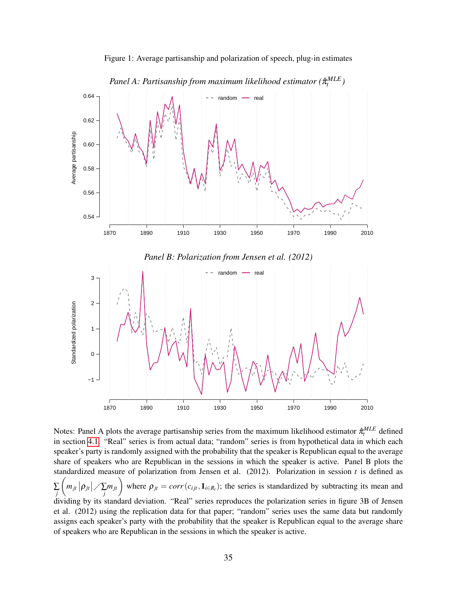<span id="page-35-0"></span>

Figure 1: Average partisanship and polarization of speech, plug-in estimates

in section [4.1.](#page-10-1) "Real" series is from actual data; "random" series is from hypothetical data in which each speaker's party is randomly assigned with the probability that the speaker is Republican equal to the average share of speakers who are Republican in the sessions in which the speaker is active. Panel B plots the standardized measure of polarization from Jensen et al. (2012). Polarization in session *t* is defined as ∑ *j*  $\left(m_{jt}|\rho_{jt}| \nearrow \sum_j m_{jt}\right)$  where  $\rho_{jt} = corr(c_{ijt}, \mathbf{1}_{i \in R_t})$ ; the series is standardized by subtracting its mean and dividing by its standard deviation. "Real" series reproduces the polarization series in figure 3B of Jensen et al. (2012) using the replication data for that paper; "random" series uses the same data but randomly assigns each speaker's party with the probability that the speaker is Republican equal to the average share of speakers who are Republican in the sessions in which the speaker is active.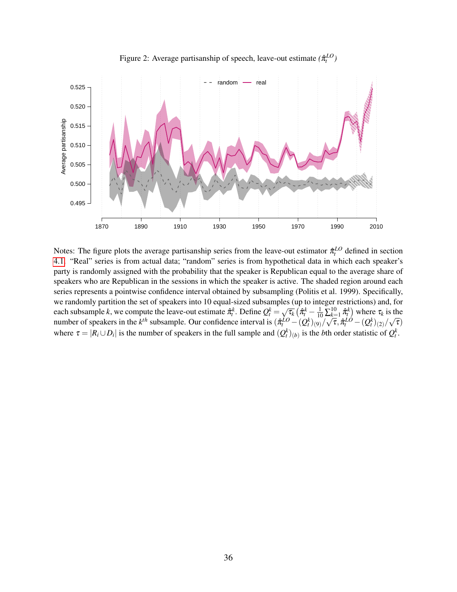<span id="page-36-0"></span>

Figure 2: Average partisanship of speech, leave-out estimate  $(\hat{\pi}_t^{LO})$ 

Notes: The figure plots the average partisanship series from the leave-out estimator  $\hat{\pi}^{LO}_t$  defined in section [4.1.](#page-10-1) "Real" series is from actual data; "random" series is from hypothetical data in which each speaker's party is randomly assigned with the probability that the speaker is Republican equal to the average share of speakers who are Republican in the sessions in which the speaker is active. The shaded region around each series represents a pointwise confidence interval obtained by subsampling (Politis et al. 1999). Specifically, we randomly partition the set of speakers into 10 equal-sized subsamples (up to integer restrictions) and, for by a ration in the set of speakers like to equal-sized subsamples<br>each subsample *k*, we compute the leave-out estimate  $\hat{\pi}_k^k$ . Define  $Q_k^k = \sqrt{2\pi}$  $\overline{\tau_k}$   $(\hat{\pi}_t^k - \frac{1}{10} \sum_{k=1}^{10} \hat{\pi}_t^k)$  where  $\tau_k$  is the number of speakers in the  $k^{th}$  subsample. Our confidence interval is  $(\hat{\pi}_t^{LO} - (Q_t^k)_{(9)}/\hat{\pi}_t^{LO})$ ∠ķ  $\overline{\tau}, \hat{\pi}^{LO}_{t} - (Q^{k}_{t})_{(2)}/\overline{\tau}$ √  $\overline{\tau})$ where  $\tau = |R_i \cup D_i|$  is the number of speakers in the full sample and  $(Q_t^k)_{(b)}$  is the *b*th order statistic of  $Q_t^k$ .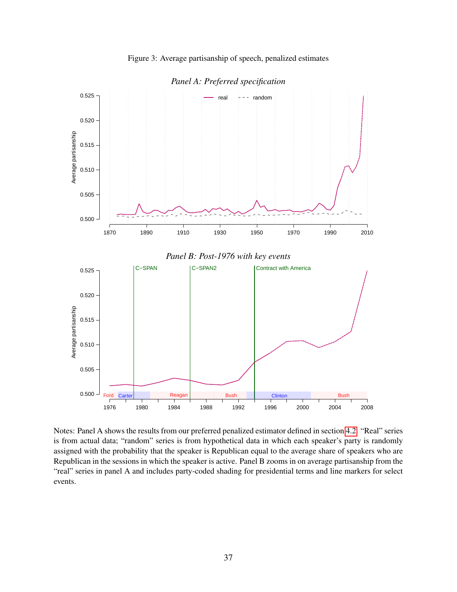

<span id="page-37-0"></span>

*Panel A: Preferred specification*

Notes: Panel A shows the results from our preferred penalized estimator defined in section [4.2.](#page-11-1) "Real" series is from actual data; "random" series is from hypothetical data in which each speaker's party is randomly assigned with the probability that the speaker is Republican equal to the average share of speakers who are Republican in the sessions in which the speaker is active. Panel B zooms in on average partisanship from the "real" series in panel A and includes party-coded shading for presidential terms and line markers for select events.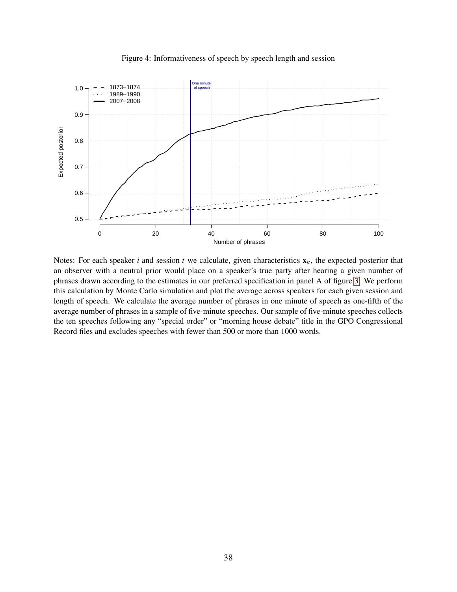

<span id="page-38-0"></span>

Notes: For each speaker  $i$  and session  $t$  we calculate, given characteristics  $x_{it}$ , the expected posterior that an observer with a neutral prior would place on a speaker's true party after hearing a given number of phrases drawn according to the estimates in our preferred specification in panel A of figure [3.](#page-37-0) We perform this calculation by Monte Carlo simulation and plot the average across speakers for each given session and length of speech. We calculate the average number of phrases in one minute of speech as one-fifth of the average number of phrases in a sample of five-minute speeches. Our sample of five-minute speeches collects the ten speeches following any "special order" or "morning house debate" title in the GPO Congressional Record files and excludes speeches with fewer than 500 or more than 1000 words.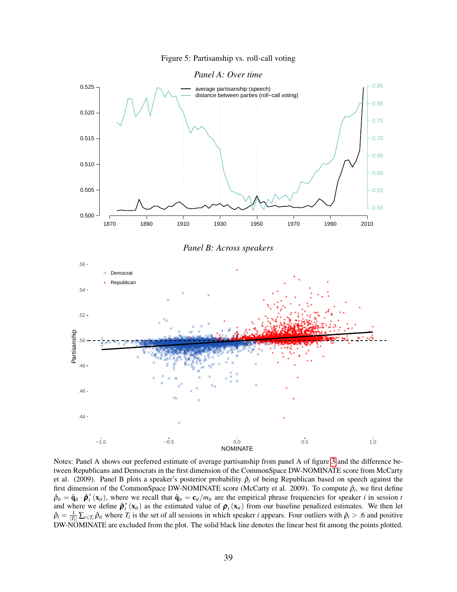

<span id="page-39-0"></span>

Notes: Panel A shows our preferred estimate of average partisanship from panel A of figure [3](#page-37-0) and the difference between Republicans and Democrats in the first dimension of the CommonSpace DW-NOMINATE score from McCarty et al. (2009). Panel B plots a speaker's posterior probability  $\hat{p}_i$  of being Republican based on speech against the first dimension of the CommonSpace DW-NOMINATE score (McCarty et al. 2009). To compute  $\hat{\rho}_i$ , we first define  $\hat{\rho}_{it} = \hat{\mathbf{q}}_{it} \cdot \hat{\boldsymbol{\rho}}_t^*(\mathbf{x}_{it})$ , where we recall that  $\hat{\mathbf{q}}_{it} = \mathbf{c}_{it}/m_{it}$  are the empirical phrase frequencies for speaker *i* in session *t* and where we define  $\hat{\boldsymbol{\rho}}_t^*(\mathbf{x}_i)$  as the estimated value of  $\boldsymbol{\rho}_t(\mathbf{x}_i)$  from our baseline penalized estimates. We then let  $\hat{\rho}_i = \frac{1}{|T_i|} \sum_{t \in T_i} \hat{\rho}_{it}$  where  $T_i$  is the set of all sessions in which speaker *i* appears. Four outliers with  $\hat{\rho}_i > .6$  and positive DW-NOMINATE are excluded from the plot. The solid black line denotes the linear best fit among the points plotted.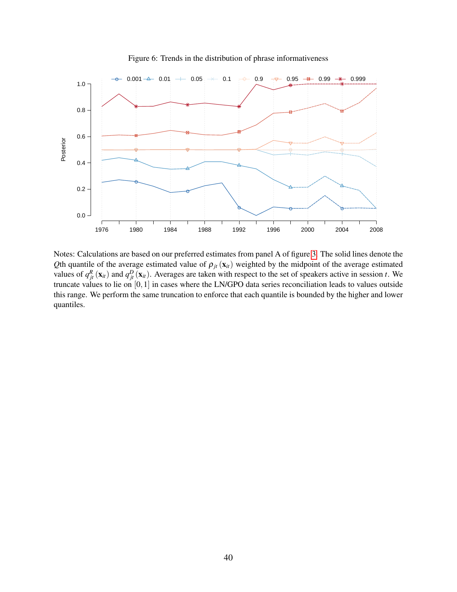<span id="page-40-0"></span>

Figure 6: Trends in the distribution of phrase informativeness

Notes: Calculations are based on our preferred estimates from panel A of figure [3.](#page-37-0) The solid lines denote the *Q*th quantile of the average estimated value of  $\rho_{jt}$  ( $\mathbf{x}_{it}$ ) weighted by the midpoint of the average estimated values of  $q_{jt}^R(\mathbf{x}_{it})$  and  $q_{jt}^D(\mathbf{x}_{it})$ . Averages are taken with respect to the set of speakers active in session *t*. We truncate values to lie on [0,1] in cases where the LN/GPO data series reconciliation leads to values outside this range. We perform the same truncation to enforce that each quantile is bounded by the higher and lower quantiles.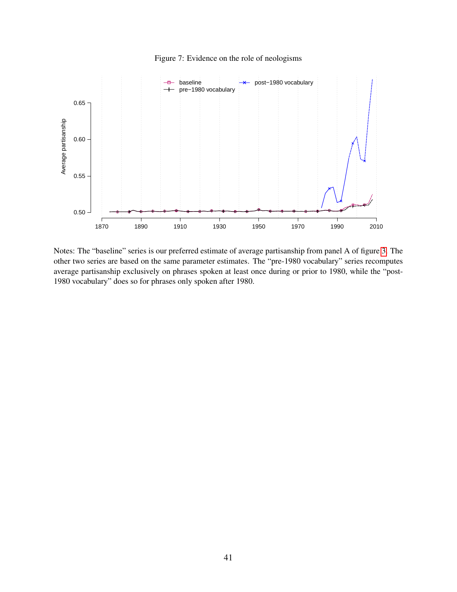

<span id="page-41-0"></span>

Notes: The "baseline" series is our preferred estimate of average partisanship from panel A of figure [3.](#page-37-0) The other two series are based on the same parameter estimates. The "pre-1980 vocabulary" series recomputes average partisanship exclusively on phrases spoken at least once during or prior to 1980, while the "post-1980 vocabulary" does so for phrases only spoken after 1980.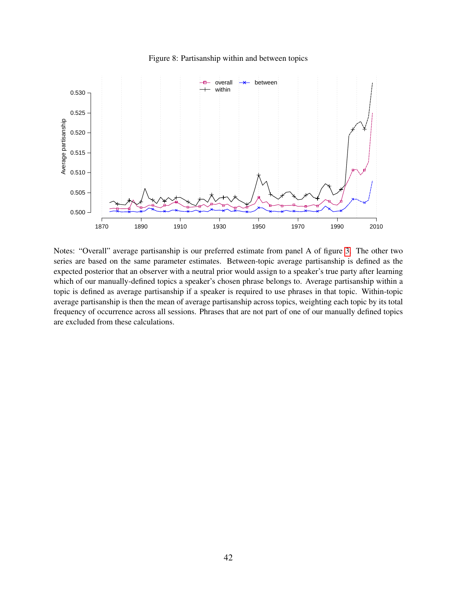

<span id="page-42-0"></span>

Notes: "Overall" average partisanship is our preferred estimate from panel A of figure [3.](#page-37-0) The other two series are based on the same parameter estimates. Between-topic average partisanship is defined as the expected posterior that an observer with a neutral prior would assign to a speaker's true party after learning which of our manually-defined topics a speaker's chosen phrase belongs to. Average partisanship within a topic is defined as average partisanship if a speaker is required to use phrases in that topic. Within-topic average partisanship is then the mean of average partisanship across topics, weighting each topic by its total frequency of occurrence across all sessions. Phrases that are not part of one of our manually defined topics are excluded from these calculations.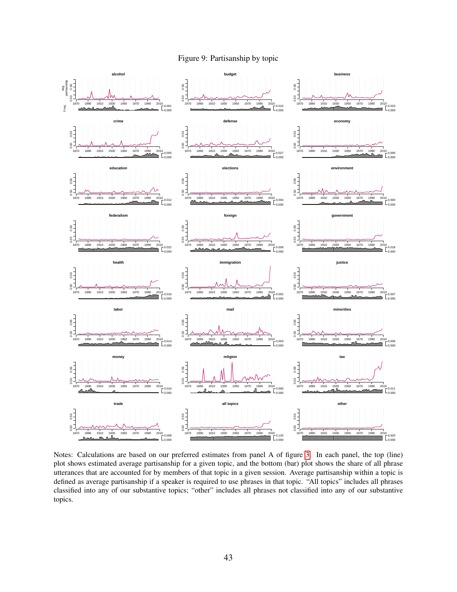

<span id="page-43-0"></span>

Notes: Calculations are based on our preferred estimates from panel A of figure [3.](#page-37-0) In each panel, the top (line) plot shows estimated average partisanship for a given topic, and the bottom (bar) plot shows the share of all phrase utterances that are accounted for by members of that topic in a given session. Average partisanship within a topic is defined as average partisanship if a speaker is required to use phrases in that topic. "All topics" includes all phrases classified into any of our substantive topics; "other" includes all phrases not classified into any of our substantive topics.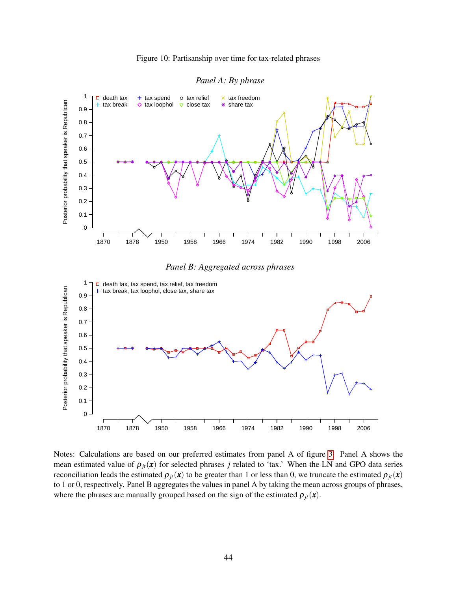<span id="page-44-0"></span>

Figure 10: Partisanship over time for tax-related phrases



Notes: Calculations are based on our preferred estimates from panel A of figure [3.](#page-37-0) Panel A shows the mean estimated value of  $\rho_{it}(x)$  for selected phrases *j* related to 'tax.' When the LN and GPO data series reconciliation leads the estimated  $\rho_{it}(x)$  to be greater than 1 or less than 0, we truncate the estimated  $\rho_{it}(x)$ to 1 or 0, respectively. Panel B aggregates the values in panel A by taking the mean across groups of phrases, where the phrases are manually grouped based on the sign of the estimated  $\rho_{it}(\mathbf{x})$ .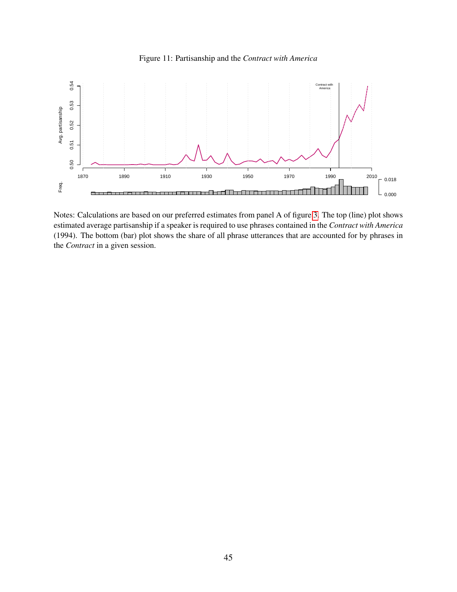

<span id="page-45-0"></span>

Notes: Calculations are based on our preferred estimates from panel A of figure [3.](#page-37-0) The top (line) plot shows estimated average partisanship if a speaker is required to use phrases contained in the *Contract with America* (1994). The bottom (bar) plot shows the share of all phrase utterances that are accounted for by phrases in the *Contract* in a given session.